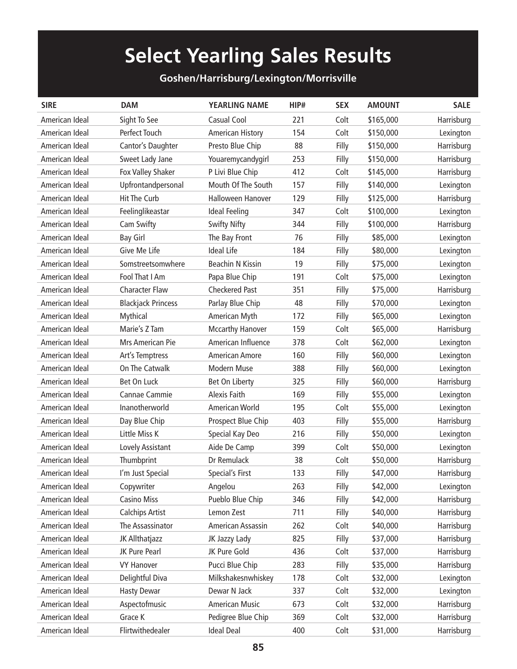## **Select Yearling Sales Results**

## **Goshen/Harrisburg/Lexington/Morrisville**

| <b>SIRE</b>    | <b>DAM</b>                | <b>YEARLING NAME</b>    | HIP# | <b>SEX</b> | <b>AMOUNT</b> | <b>SALE</b> |
|----------------|---------------------------|-------------------------|------|------------|---------------|-------------|
| American Ideal | Sight To See              | Casual Cool             | 221  | Colt       | \$165,000     | Harrisburg  |
| American Ideal | Perfect Touch             | <b>American History</b> | 154  | Colt       | \$150,000     | Lexington   |
| American Ideal | Cantor's Daughter         | Presto Blue Chip        | 88   | Filly      | \$150,000     | Harrisburg  |
| American Ideal | Sweet Lady Jane           | Youaremycandygirl       | 253  | Filly      | \$150,000     | Harrisburg  |
| American Ideal | Fox Valley Shaker         | P Livi Blue Chip        | 412  | Colt       | \$145,000     | Harrisburg  |
| American Ideal | Upfrontandpersonal        | Mouth Of The South      | 157  | Filly      | \$140,000     | Lexington   |
| American Ideal | <b>Hit The Curb</b>       | Halloween Hanover       | 129  | Filly      | \$125,000     | Harrisburg  |
| American Ideal | Feelinglikeastar          | Ideal Feeling           | 347  | Colt       | \$100,000     | Lexington   |
| American Ideal | Cam Swifty                | <b>Swifty Nifty</b>     | 344  | Filly      | \$100,000     | Harrisburg  |
| American Ideal | <b>Bay Girl</b>           | The Bay Front           | 76   | Filly      | \$85,000      | Lexington   |
| American Ideal | Give Me Life              | <b>Ideal Life</b>       | 184  | Filly      | \$80,000      | Lexington   |
| American Ideal | Somstreetsomwhere         | <b>Beachin N Kissin</b> | 19   | Filly      | \$75,000      | Lexington   |
| American Ideal | Fool That I Am            | Papa Blue Chip          | 191  | Colt       | \$75,000      | Lexington   |
| American Ideal | <b>Character Flaw</b>     | <b>Checkered Past</b>   | 351  | Filly      | \$75,000      | Harrisburg  |
| American Ideal | <b>Blackjack Princess</b> | Parlay Blue Chip        | 48   | Filly      | \$70,000      | Lexington   |
| American Ideal | Mythical                  | American Myth           | 172  | Filly      | \$65,000      | Lexington   |
| American Ideal | Marie's Z Tam             | <b>Mccarthy Hanover</b> | 159  | Colt       | \$65,000      | Harrisburg  |
| American Ideal | Mrs American Pie          | American Influence      | 378  | Colt       | \$62,000      | Lexington   |
| American Ideal | Art's Temptress           | American Amore          | 160  | Filly      | \$60,000      | Lexington   |
| American Ideal | On The Catwalk            | Modern Muse             | 388  | Filly      | \$60,000      | Lexington   |
| American Ideal | Bet On Luck               | Bet On Liberty          | 325  | Filly      | \$60,000      | Harrisburg  |
| American Ideal | Cannae Cammie             | Alexis Faith            | 169  | Filly      | \$55,000      | Lexington   |
| American Ideal | Inanotherworld            | American World          | 195  | Colt       | \$55,000      | Lexington   |
| American Ideal | Day Blue Chip             | Prospect Blue Chip      | 403  | Filly      | \$55,000      | Harrisburg  |
| American Ideal | Little Miss K             | Special Kay Deo         | 216  | Filly      | \$50,000      | Lexington   |
| American Ideal | Lovely Assistant          | Aide De Camp            | 399  | Colt       | \$50,000      | Lexington   |
| American Ideal | Thumbprint                | Dr Remulack             | 38   | Colt       | \$50,000      | Harrisburg  |
| American Ideal | I'm Just Special          | Special's First         | 133  | Filly      | \$47,000      | Harrisburg  |
| American Ideal | Copywriter                | Angelou                 | 263  | Filly      | \$42,000      | Lexington   |
| American Ideal | <b>Casino Miss</b>        | Pueblo Blue Chip        | 346  | Filly      | \$42,000      | Harrisburg  |
| American Ideal | <b>Calchips Artist</b>    | Lemon Zest              | 711  | Filly      | \$40,000      | Harrisburg  |
| American Ideal | The Assassinator          | American Assassin       | 262  | Colt       | \$40,000      | Harrisburg  |
| American Ideal | JK Allthatjazz            | JK Jazzy Lady           | 825  | Filly      | \$37,000      | Harrisburg  |
| American Ideal | JK Pure Pearl             | JK Pure Gold            | 436  | Colt       | \$37,000      | Harrisburg  |
| American Ideal | <b>VY Hanover</b>         | Pucci Blue Chip         | 283  | Filly      | \$35,000      | Harrisburg  |
| American Ideal | Delightful Diva           | Milkshakesnwhiskey      | 178  | Colt       | \$32,000      | Lexington   |
| American Ideal | <b>Hasty Dewar</b>        | Dewar N Jack            | 337  | Colt       | \$32,000      | Lexington   |
| American Ideal | Aspectofmusic             | <b>American Music</b>   | 673  | Colt       | \$32,000      | Harrisburg  |
| American Ideal | Grace K                   | Pedigree Blue Chip      | 369  | Colt       | \$32,000      | Harrisburg  |
| American Ideal | Flirtwithedealer          | <b>Ideal Deal</b>       | 400  | Colt       | \$31,000      | Harrisburg  |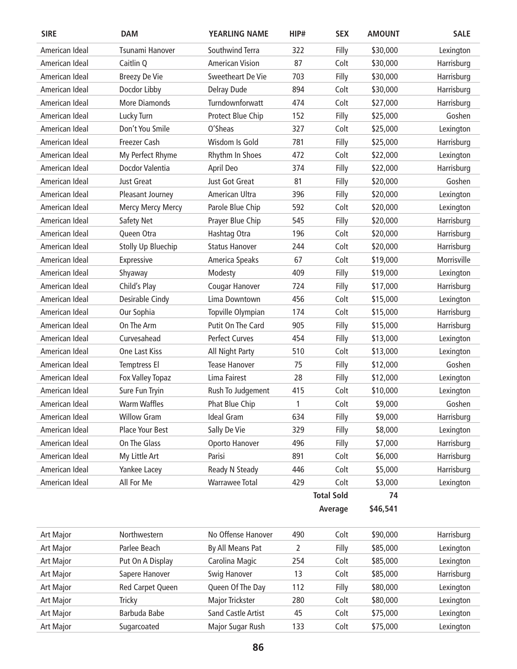| <b>SIRE</b>    | DAM                  | <b>YEARLING NAME</b>   | HIP# | <b>SEX</b>        | <b>AMOUNT</b> | <b>SALE</b> |
|----------------|----------------------|------------------------|------|-------------------|---------------|-------------|
| American Ideal | Tsunami Hanover      | Southwind Terra        | 322  | Filly             | \$30,000      | Lexington   |
| American Ideal | Caitlin Q            | <b>American Vision</b> | 87   | Colt              | \$30,000      | Harrisburg  |
| American Ideal | <b>Breezy De Vie</b> | Sweetheart De Vie      | 703  | Filly             | \$30,000      | Harrisburg  |
| American Ideal | Docdor Libby         | Delray Dude            | 894  | Colt              | \$30,000      | Harrisburg  |
| American Ideal | <b>More Diamonds</b> | Turndownforwatt        | 474  | Colt              | \$27,000      | Harrisburg  |
| American Ideal | Lucky Turn           | Protect Blue Chip      | 152  | Filly             | \$25,000      | Goshen      |
| American Ideal | Don't You Smile      | O'Sheas                | 327  | Colt              | \$25,000      | Lexington   |
| American Ideal | <b>Freezer Cash</b>  | Wisdom Is Gold         | 781  | Filly             | \$25,000      | Harrisburg  |
| American Ideal | My Perfect Rhyme     | Rhythm In Shoes        | 472  | Colt              | \$22,000      | Lexington   |
| American Ideal | Docdor Valentia      | April Deo              | 374  | Filly             | \$22,000      | Harrisburg  |
| American Ideal | Just Great           | Just Got Great         | 81   | Filly             | \$20,000      | Goshen      |
| American Ideal | Pleasant Journey     | American Ultra         | 396  | Filly             | \$20,000      | Lexington   |
| American Ideal | Mercy Mercy Mercy    | Parole Blue Chip       | 592  | Colt              | \$20,000      | Lexington   |
| American Ideal | Safety Net           | Prayer Blue Chip       | 545  | Filly             | \$20,000      | Harrisburg  |
| American Ideal | Queen Otra           | Hashtag Otra           | 196  | Colt              | \$20,000      | Harrisburg  |
| American Ideal | Stolly Up Bluechip   | <b>Status Hanover</b>  | 244  | Colt              | \$20,000      | Harrisburg  |
| American Ideal | Expressive           | America Speaks         | 67   | Colt              | \$19,000      | Morrisville |
| American Ideal | Shyaway              | Modesty                | 409  | Filly             | \$19,000      | Lexington   |
| American Ideal | Child's Play         | Cougar Hanover         | 724  | Filly             | \$17,000      | Harrisburg  |
| American Ideal | Desirable Cindy      | Lima Downtown          | 456  | Colt              | \$15,000      | Lexington   |
| American Ideal | Our Sophia           | Topville Olympian      | 174  | Colt              | \$15,000      | Harrisburg  |
| American Ideal | On The Arm           | Putit On The Card      | 905  | Filly             | \$15,000      | Harrisburg  |
| American Ideal | Curvesahead          | <b>Perfect Curves</b>  | 454  | Filly             | \$13,000      | Lexington   |
| American Ideal | One Last Kiss        | All Night Party        | 510  | Colt              | \$13,000      | Lexington   |
| American Ideal | Temptress El         | <b>Tease Hanover</b>   | 75   | Filly             | \$12,000      | Goshen      |
| American Ideal | Fox Valley Topaz     | Lima Fairest           | 28   | Filly             | \$12,000      | Lexington   |
| American Ideal | Sure Fun Tryin       | Rush To Judgement      | 415  | Colt              | \$10,000      | Lexington   |
| American Ideal | <b>Warm Waffles</b>  | Phat Blue Chip         | 1    | Colt              | \$9,000       | Goshen      |
| American Ideal | <b>Willow Gram</b>   | <b>Ideal Gram</b>      | 634  | Filly             | \$9,000       | Harrisburg  |
| American Ideal | Place Your Best      | Sally De Vie           | 329  | Filly             | \$8,000       | Lexington   |
| American Ideal | On The Glass         | Oporto Hanover         | 496  | Filly             | \$7,000       | Harrisburg  |
| American Ideal | My Little Art        | Parisi                 | 891  | Colt              | \$6,000       | Harrisburg  |
| American Ideal | Yankee Lacey         | Ready N Steady         | 446  | Colt              | \$5,000       | Harrisburg  |
| American Ideal | All For Me           | <b>Warrawee Total</b>  | 429  | Colt              | \$3,000       | Lexington   |
|                |                      |                        |      | <b>Total Sold</b> | 74            |             |
|                |                      |                        |      | Average           | \$46,541      |             |
| Art Major      | Northwestern         | No Offense Hanover     | 490  | Colt              | \$90,000      | Harrisburg  |
| Art Major      | Parlee Beach         | By All Means Pat       | 2    | Filly             | \$85,000      | Lexington   |
|                |                      |                        |      |                   |               |             |

| <b>Art Major</b> | Parlee Beach     | By All Means Pat          |     | Filly | \$85,000 | Lexington  |
|------------------|------------------|---------------------------|-----|-------|----------|------------|
| Art Major        | Put On A Display | Carolina Magic            | 254 | Colt  | \$85,000 | Lexington  |
| <b>Art Major</b> | Sapere Hanover   | Swig Hanover              | 13  | Colt  | \$85,000 | Harrisburg |
| <b>Art Major</b> | Red Carpet Queen | Queen Of The Day          | 112 | Filly | \$80,000 | Lexington  |
| <b>Art Major</b> | Tricky           | Major Trickster           | 280 | Colt  | \$80,000 | Lexington  |
| Art Major        | Barbuda Babe     | <b>Sand Castle Artist</b> | 45  | Colt  | \$75,000 | Lexington  |
| <b>Art Major</b> | Sugarcoated      | Major Sugar Rush          | 133 | Colt  | \$75,000 | Lexington  |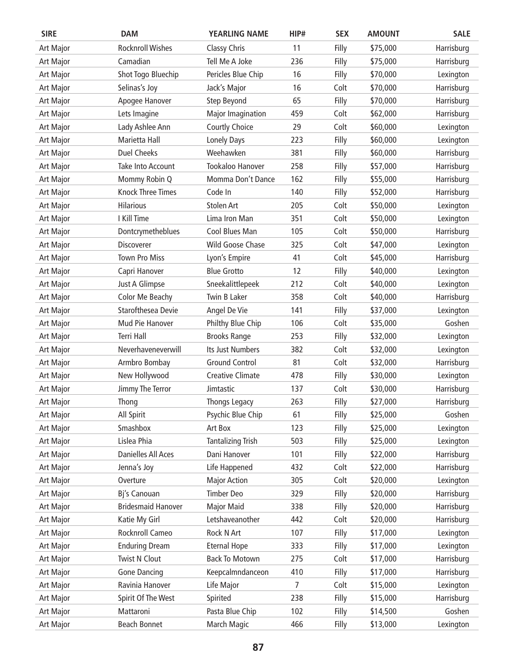| <b>SIRE</b>      | <b>DAM</b>                | <b>YEARLING NAME</b>     | HIP# | <b>SEX</b> | <b>AMOUNT</b> | <b>SALE</b> |
|------------------|---------------------------|--------------------------|------|------------|---------------|-------------|
| Art Major        | <b>Rocknroll Wishes</b>   | <b>Classy Chris</b>      | 11   | Filly      | \$75,000      | Harrisburg  |
| Art Major        | Camadian                  | Tell Me A Joke           | 236  | Filly      | \$75,000      | Harrisburg  |
| Art Major        | Shot Togo Bluechip        | Pericles Blue Chip       | 16   | Filly      | \$70,000      | Lexington   |
| Art Major        | Selinas's Joy             | Jack's Major             | 16   | Colt       | \$70,000      | Harrisburg  |
| Art Major        | Apogee Hanover            | Step Beyond              | 65   | Filly      | \$70,000      | Harrisburg  |
| Art Major        | Lets Imagine              | Major Imagination        | 459  | Colt       | \$62,000      | Harrisburg  |
| Art Major        | Lady Ashlee Ann           | Courtly Choice           | 29   | Colt       | \$60,000      | Lexington   |
| Art Major        | Marietta Hall             | Lonely Days              | 223  | Filly      | \$60,000      | Lexington   |
| Art Major        | <b>Duel Cheeks</b>        | Weehawken                | 381  | Filly      | \$60,000      | Harrisburg  |
| Art Major        | Take Into Account         | Tookaloo Hanover         | 258  | Filly      | \$57,000      | Harrisburg  |
| Art Major        | Mommy Robin Q             | Momma Don't Dance        | 162  | Filly      | \$55,000      | Harrisburg  |
| Art Major        | <b>Knock Three Times</b>  | Code In                  | 140  | Filly      | \$52,000      | Harrisburg  |
| Art Major        | <b>Hilarious</b>          | <b>Stolen Art</b>        | 205  | Colt       | \$50,000      | Lexington   |
| Art Major        | I Kill Time               | Lima Iron Man            | 351  | Colt       | \$50,000      | Lexington   |
| Art Major        | Dontcrymetheblues         | Cool Blues Man           | 105  | Colt       | \$50,000      | Harrisburg  |
| Art Major        | Discoverer                | Wild Goose Chase         | 325  | Colt       | \$47,000      | Lexington   |
| Art Major        | <b>Town Pro Miss</b>      | Lyon's Empire            | 41   | Colt       | \$45,000      | Harrisburg  |
| Art Major        | Capri Hanover             | <b>Blue Grotto</b>       | 12   | Filly      | \$40,000      | Lexington   |
| Art Major        | Just A Glimpse            | Sneekalittlepeek         | 212  | Colt       | \$40,000      | Lexington   |
| Art Major        | Color Me Beachy           | Twin B Laker             | 358  | Colt       | \$40,000      | Harrisburg  |
| Art Major        | Starofthesea Devie        | Angel De Vie             | 141  | Filly      | \$37,000      | Lexington   |
| Art Major        | Mud Pie Hanover           | Philthy Blue Chip        | 106  | Colt       | \$35,000      | Goshen      |
| Art Major        | <b>Terri Hall</b>         | <b>Brooks Range</b>      | 253  | Filly      | \$32,000      | Lexington   |
| Art Major        | Neverhaveneverwill        | Its Just Numbers         | 382  | Colt       | \$32,000      | Lexington   |
| Art Major        | Armbro Bombay             | <b>Ground Control</b>    | 81   | Colt       | \$32,000      | Harrisburg  |
| Art Major        | New Hollywood             | <b>Creative Climate</b>  | 478  | Filly      | \$30,000      | Lexington   |
| Art Major        | Jimmy The Terror          | Jimtastic                | 137  | Colt       | \$30,000      | Harrisburg  |
| <b>Art Major</b> | Thong                     | Thongs Legacy            | 263  | Filly      | \$27,000      | Harrisburg  |
| Art Major        | All Spirit                | Psychic Blue Chip        | 61   | Filly      | \$25,000      | Goshen      |
| Art Major        | Smashbox                  | Art Box                  | 123  | Filly      | \$25,000      | Lexington   |
| <b>Art Major</b> | Lislea Phia               | <b>Tantalizing Trish</b> | 503  | Filly      | \$25,000      | Lexington   |
| Art Major        | Danielles All Aces        | Dani Hanover             | 101  | Filly      | \$22,000      | Harrisburg  |
| Art Major        | Jenna's Joy               | Life Happened            | 432  | Colt       | \$22,000      | Harrisburg  |
| Art Major        | Overture                  | <b>Major Action</b>      | 305  | Colt       | \$20,000      | Lexington   |
| Art Major        | Bj's Canouan              | <b>Timber Deo</b>        | 329  | Filly      | \$20,000      | Harrisburg  |
| Art Major        | <b>Bridesmaid Hanover</b> | <b>Major Maid</b>        | 338  | Filly      | \$20,000      | Harrisburg  |
| Art Major        | Katie My Girl             | Letshaveanother          | 442  | Colt       | \$20,000      | Harrisburg  |
| Art Major        | Rocknroll Cameo           | Rock N Art               | 107  | Filly      | \$17,000      | Lexington   |
| Art Major        | <b>Enduring Dream</b>     | <b>Eternal Hope</b>      | 333  | Filly      | \$17,000      | Lexington   |
| Art Major        | <b>Twist N Clout</b>      | <b>Back To Motown</b>    | 275  | Colt       | \$17,000      | Harrisburg  |
| Art Major        | <b>Gone Dancing</b>       | Keepcalmndanceon         | 410  | Filly      | \$17,000      | Harrisburg  |
| Art Major        | Ravinia Hanover           | Life Major               | 7    | Colt       | \$15,000      | Lexington   |
| Art Major        | Spirit Of The West        | Spirited                 | 238  | Filly      | \$15,000      | Harrisburg  |
| Art Major        | Mattaroni                 | Pasta Blue Chip          | 102  | Filly      | \$14,500      | Goshen      |
| Art Major        | Beach Bonnet              | March Magic              | 466  | Filly      | \$13,000      | Lexington   |
|                  |                           |                          |      |            |               |             |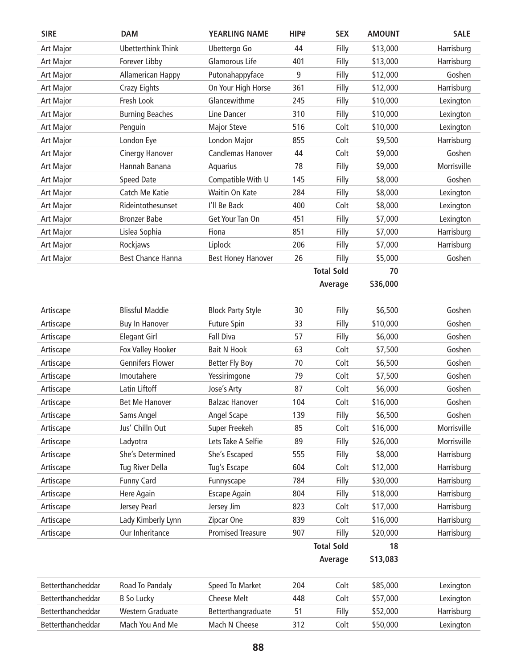| <b>SIRE</b>       | <b>DAM</b>                | <b>YEARLING NAME</b>      | HIP# | <b>SEX</b>        | <b>AMOUNT</b> | <b>SALE</b> |
|-------------------|---------------------------|---------------------------|------|-------------------|---------------|-------------|
| Art Major         | <b>Ubetterthink Think</b> | Ubettergo Go              | 44   | Filly             | \$13,000      | Harrisburg  |
| Art Major         | Forever Libby             | Glamorous Life            | 401  | Filly             | \$13,000      | Harrisburg  |
| Art Major         | Allamerican Happy         | Putonahappyface           | 9    | Filly             | \$12,000      | Goshen      |
| Art Major         | <b>Crazy Eights</b>       | On Your High Horse        | 361  | Filly             | \$12,000      | Harrisburg  |
| Art Major         | Fresh Look                | Glancewithme              | 245  | Filly             | \$10,000      | Lexington   |
| Art Major         | <b>Burning Beaches</b>    | Line Dancer               | 310  | Filly             | \$10,000      | Lexington   |
| Art Major         | Penguin                   | <b>Major Steve</b>        | 516  | Colt              | \$10,000      | Lexington   |
| Art Major         | London Eye                | London Major              | 855  | Colt              | \$9,500       | Harrisburg  |
| Art Major         | <b>Cinergy Hanover</b>    | Candlemas Hanover         | 44   | Colt              | \$9,000       | Goshen      |
| Art Major         | Hannah Banana             | Aquarius                  | 78   | Filly             | \$9,000       | Morrisville |
| Art Major         | <b>Speed Date</b>         | Compatible With U         | 145  | Filly             | \$8,000       | Goshen      |
| Art Major         | Catch Me Katie            | Waitin On Kate            | 284  | Filly             | \$8,000       | Lexington   |
| Art Major         | Rideintothesunset         | I'll Be Back              | 400  | Colt              | \$8,000       | Lexington   |
| Art Major         | <b>Bronzer Babe</b>       | Get Your Tan On           | 451  | Filly             | \$7,000       | Lexington   |
| Art Major         | Lislea Sophia             | Fiona                     | 851  | Filly             | \$7,000       | Harrisburg  |
| Art Major         | Rockjaws                  | Liplock                   | 206  | Filly             | \$7,000       | Harrisburg  |
| Art Major         | <b>Best Chance Hanna</b>  | <b>Best Honey Hanover</b> | 26   | Filly             | \$5,000       | Goshen      |
|                   |                           |                           |      | <b>Total Sold</b> | 70            |             |
|                   |                           |                           |      | Average           | \$36,000      |             |
|                   |                           |                           |      |                   |               |             |
| Artiscape         | <b>Blissful Maddie</b>    | <b>Block Party Style</b>  | 30   | Filly             | \$6,500       | Goshen      |
| Artiscape         | <b>Buy In Hanover</b>     | <b>Future Spin</b>        | 33   | Filly             | \$10,000      | Goshen      |
| Artiscape         | <b>Elegant Girl</b>       | <b>Fall Diva</b>          | 57   | Filly             | \$6,000       | Goshen      |
| Artiscape         | Fox Valley Hooker         | <b>Bait N Hook</b>        | 63   | Colt              | \$7,500       | Goshen      |
| Artiscape         | <b>Gennifers Flower</b>   | Better Fly Boy            | 70   | Colt              | \$6,500       | Goshen      |
| Artiscape         | Imoutahere                | Yessirimgone              | 79   | Colt              | \$7,500       | Goshen      |
| Artiscape         | Latin Liftoff             | Jose's Arty               | 87   | Colt              | \$6,000       | Goshen      |
| Artiscape         | Bet Me Hanover            | <b>Balzac Hanover</b>     | 104  | Colt              | \$16,000      | Goshen      |
| Artiscape         | Sams Angel                | Angel Scape               | 139  | Filly             | \$6,500       | Goshen      |
| Artiscape         | Jus' Chilln Out           | Super Freekeh             | 85   | Colt              | \$16,000      | Morrisville |
| Artiscape         | Ladyotra                  | Lets Take A Selfie        | 89   | Filly             | \$26,000      | Morrisville |
| Artiscape         | She's Determined          | She's Escaped             | 555  | Filly             | \$8,000       | Harrisburg  |
| Artiscape         | Tug River Della           | Tug's Escape              | 604  | Colt              | \$12,000      | Harrisburg  |
| Artiscape         | <b>Funny Card</b>         | Funnyscape                | 784  | Filly             | \$30,000      | Harrisburg  |
| Artiscape         | Here Again                | <b>Escape Again</b>       | 804  | Filly             | \$18,000      | Harrisburg  |
| Artiscape         | Jersey Pearl              | Jersey Jim                | 823  | Colt              | \$17,000      | Harrisburg  |
| Artiscape         | Lady Kimberly Lynn        | Zipcar One                | 839  | Colt              | \$16,000      | Harrisburg  |
| Artiscape         | Our Inheritance           | <b>Promised Treasure</b>  | 907  | Filly             | \$20,000      | Harrisburg  |
|                   |                           |                           |      | <b>Total Sold</b> | 18            |             |
|                   |                           |                           |      | Average           | \$13,083      |             |
| Betterthancheddar | Road To Pandaly           | Speed To Market           | 204  | Colt              | \$85,000      | Lexington   |
| Betterthancheddar | <b>B</b> So Lucky         | Cheese Melt               | 448  | Colt              | \$57,000      | Lexington   |
| Betterthancheddar | <b>Western Graduate</b>   | Betterthangraduate        | 51   | Filly             | \$52,000      | Harrisburg  |
| Betterthancheddar | Mach You And Me           | Mach N Cheese             | 312  | Colt              | \$50,000      | Lexington   |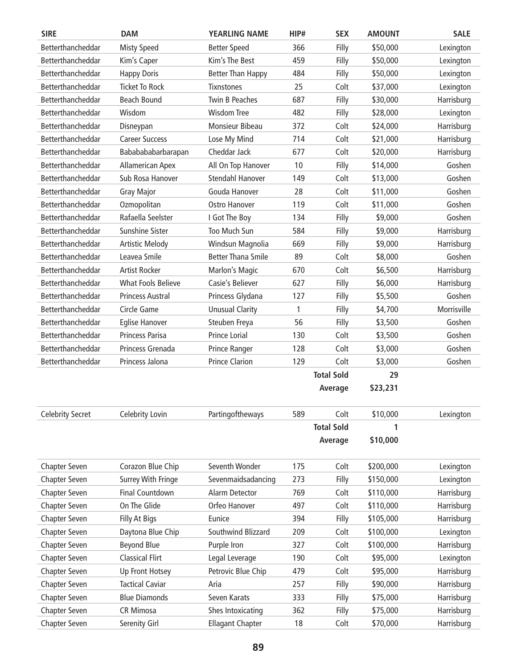| <b>SIRE</b>             | <b>DAM</b>                | <b>YEARLING NAME</b>      | HIP# | <b>SEX</b>        | <b>AMOUNT</b> | <b>SALE</b> |
|-------------------------|---------------------------|---------------------------|------|-------------------|---------------|-------------|
| Betterthancheddar       | <b>Misty Speed</b>        | <b>Better Speed</b>       | 366  | Filly             | \$50,000      | Lexington   |
| Betterthancheddar       | Kim's Caper               | Kim's The Best            | 459  | Filly             | \$50,000      | Lexington   |
| Betterthancheddar       | <b>Happy Doris</b>        | <b>Better Than Happy</b>  | 484  | Filly             | \$50,000      | Lexington   |
| Betterthancheddar       | <b>Ticket To Rock</b>     | <b>Tixnstones</b>         | 25   | Colt              | \$37,000      | Lexington   |
| Betterthancheddar       | <b>Beach Bound</b>        | <b>Twin B Peaches</b>     | 687  | Filly             | \$30,000      | Harrisburg  |
| Betterthancheddar       | Wisdom                    | <b>Wisdom Tree</b>        | 482  | Filly             | \$28,000      | Lexington   |
| Betterthancheddar       | Disneypan                 | Monsieur Bibeau           | 372  | Colt              | \$24,000      | Harrisburg  |
| Betterthancheddar       | <b>Career Success</b>     | Lose My Mind              | 714  | Colt              | \$21,000      | Harrisburg  |
| Betterthancheddar       | Bababababarbarapan        | Cheddar Jack              | 677  | Colt              | \$20,000      | Harrisburg  |
| Betterthancheddar       | Allamerican Apex          | All On Top Hanover        | 10   | Filly             | \$14,000      | Goshen      |
| Betterthancheddar       | Sub Rosa Hanover          | Stendahl Hanover          | 149  | Colt              | \$13,000      | Goshen      |
| Betterthancheddar       | <b>Gray Major</b>         | Gouda Hanover             | 28   | Colt              | \$11,000      | Goshen      |
| Betterthancheddar       | Ozmopolitan               | Ostro Hanover             | 119  | Colt              | \$11,000      | Goshen      |
| Betterthancheddar       | Rafaella Seelster         | I Got The Boy             | 134  | Filly             | \$9,000       | Goshen      |
| Betterthancheddar       | Sunshine Sister           | Too Much Sun              | 584  | Filly             | \$9,000       | Harrisburg  |
| Betterthancheddar       | <b>Artistic Melody</b>    | Windsun Magnolia          | 669  | Filly             | \$9,000       | Harrisburg  |
| Betterthancheddar       | Leavea Smile              | <b>Better Thana Smile</b> | 89   | Colt              | \$8,000       | Goshen      |
| Betterthancheddar       | <b>Artist Rocker</b>      | Marlon's Magic            | 670  | Colt              | \$6,500       | Harrisburg  |
| Betterthancheddar       | <b>What Fools Believe</b> | Casie's Believer          | 627  | Filly             | \$6,000       | Harrisburg  |
| Betterthancheddar       | <b>Princess Austral</b>   | Princess Glydana          | 127  | Filly             | \$5,500       | Goshen      |
| Betterthancheddar       | Circle Game               | <b>Unusual Clarity</b>    | 1    | Filly             | \$4,700       | Morrisville |
| Betterthancheddar       | <b>Eglise Hanover</b>     | Steuben Freya             | 56   | Filly             | \$3,500       | Goshen      |
| Betterthancheddar       | Princess Parisa           | Prince Lorial             | 130  | Colt              | \$3,500       | Goshen      |
| Betterthancheddar       | Princess Grenada          | Prince Ranger             | 128  | Colt              | \$3,000       | Goshen      |
| Betterthancheddar       | Princess Jalona           | <b>Prince Clarion</b>     | 129  | Colt              | \$3,000       | Goshen      |
|                         |                           |                           |      | <b>Total Sold</b> | 29            |             |
|                         |                           |                           |      | Average           | \$23,231      |             |
| <b>Celebrity Secret</b> | Celebrity Lovin           | Partingoftheways          | 589  | Colt              | \$10,000      | Lexington   |
|                         |                           |                           |      | <b>Total Sold</b> | 1             |             |
|                         |                           |                           |      | Average           | \$10,000      |             |
| <b>Chapter Seven</b>    | Corazon Blue Chip         | Seventh Wonder            | 175  | Colt              | \$200,000     | Lexington   |
| <b>Chapter Seven</b>    | <b>Surrey With Fringe</b> | Sevenmaidsadancing        | 273  | Filly             | \$150,000     | Lexington   |
| Chapter Seven           | <b>Final Countdown</b>    | Alarm Detector            | 769  | Colt              | \$110,000     | Harrisburg  |
| Chapter Seven           | On The Glide              | Orfeo Hanover             | 497  | Colt              | \$110,000     | Harrisburg  |
| Chapter Seven           | Filly At Bigs             | Eunice                    | 394  | Filly             | \$105,000     | Harrisburg  |
| Chapter Seven           | Daytona Blue Chip         | Southwind Blizzard        | 209  | Colt              | \$100,000     | Lexington   |
| Chapter Seven           | <b>Beyond Blue</b>        | Purple Iron               | 327  | Colt              | \$100,000     | Harrisburg  |
| Chapter Seven           | <b>Classical Flirt</b>    | Legal Leverage            | 190  | Colt              | \$95,000      | Lexington   |
| Chapter Seven           | Up Front Hotsey           | Petrovic Blue Chip        | 479  | Colt              | \$95,000      | Harrisburg  |
| Chapter Seven           | <b>Tactical Caviar</b>    | Aria                      | 257  | Filly             | \$90,000      | Harrisburg  |
| Chapter Seven           | <b>Blue Diamonds</b>      | Seven Karats              | 333  | Filly             | \$75,000      | Harrisburg  |
| Chapter Seven           | CR Mimosa                 | Shes Intoxicating         | 362  | Filly             | \$75,000      | Harrisburg  |
| Chapter Seven           | Serenity Girl             | <b>Ellagant Chapter</b>   | 18   | Colt              | \$70,000      | Harrisburg  |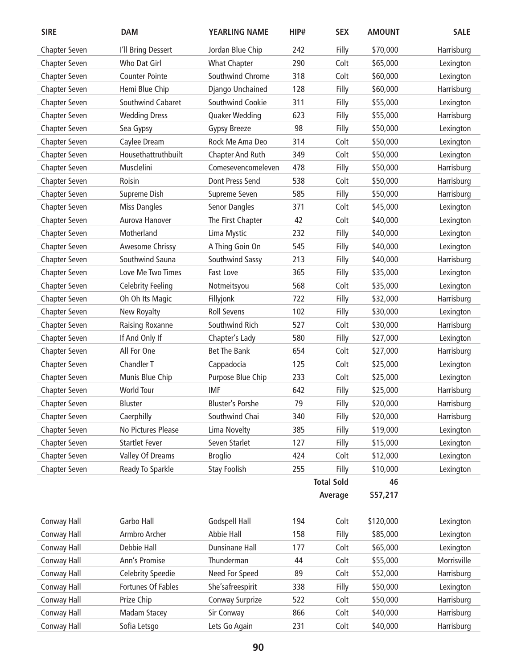| <b>SIRE</b>          | <b>DAM</b>               | <b>YEARLING NAME</b>    | HIP# | <b>SEX</b>        | <b>AMOUNT</b> | <b>SALE</b> |
|----------------------|--------------------------|-------------------------|------|-------------------|---------------|-------------|
| <b>Chapter Seven</b> | I'll Bring Dessert       | Jordan Blue Chip        | 242  | Filly             | \$70,000      | Harrisburg  |
| Chapter Seven        | Who Dat Girl             | <b>What Chapter</b>     | 290  | Colt              | \$65,000      | Lexington   |
| Chapter Seven        | <b>Counter Pointe</b>    | Southwind Chrome        | 318  | Colt              | \$60,000      | Lexington   |
| <b>Chapter Seven</b> | Hemi Blue Chip           | Django Unchained        | 128  | Filly             | \$60,000      | Harrisburg  |
| <b>Chapter Seven</b> | Southwind Cabaret        | Southwind Cookie        | 311  | Filly             | \$55,000      | Lexington   |
| Chapter Seven        | <b>Wedding Dress</b>     | Quaker Wedding          | 623  | Filly             | \$55,000      | Harrisburg  |
| Chapter Seven        | Sea Gypsy                | <b>Gypsy Breeze</b>     | 98   | Filly             | \$50,000      | Lexington   |
| Chapter Seven        | Caylee Dream             | Rock Me Ama Deo         | 314  | Colt              | \$50,000      | Lexington   |
| Chapter Seven        | Housethattruthbuilt      | Chapter And Ruth        | 349  | Colt              | \$50,000      | Lexington   |
| <b>Chapter Seven</b> | Musclelini               | Comesevencomeleven      | 478  | Filly             | \$50,000      | Harrisburg  |
| <b>Chapter Seven</b> | Roisin                   | Dont Press Send         | 538  | Colt              | \$50,000      | Harrisburg  |
| Chapter Seven        | Supreme Dish             | Supreme Seven           | 585  | Filly             | \$50,000      | Harrisburg  |
| Chapter Seven        | <b>Miss Dangles</b>      | Senor Dangles           | 371  | Colt              | \$45,000      | Lexington   |
| Chapter Seven        | Aurova Hanover           | The First Chapter       | 42   | Colt              | \$40,000      | Lexington   |
| Chapter Seven        | Motherland               | Lima Mystic             | 232  | Filly             | \$40,000      | Lexington   |
| <b>Chapter Seven</b> | Awesome Chrissy          | A Thing Goin On         | 545  | Filly             | \$40,000      | Lexington   |
| Chapter Seven        | Southwind Sauna          | Southwind Sassy         | 213  | Filly             | \$40,000      | Harrisburg  |
| Chapter Seven        | Love Me Two Times        | Fast Love               | 365  | Filly             | \$35,000      | Lexington   |
| Chapter Seven        | <b>Celebrity Feeling</b> | Notmeitsyou             | 568  | Colt              | \$35,000      | Lexington   |
| Chapter Seven        | Oh Oh Its Magic          | Fillyjonk               | 722  | Filly             | \$32,000      | Harrisburg  |
| Chapter Seven        | New Royalty              | <b>Roll Sevens</b>      | 102  | Filly             | \$30,000      | Lexington   |
| <b>Chapter Seven</b> | Raising Roxanne          | Southwind Rich          | 527  | Colt              | \$30,000      | Harrisburg  |
| <b>Chapter Seven</b> | If And Only If           | Chapter's Lady          | 580  | Filly             | \$27,000      | Lexington   |
| Chapter Seven        | All For One              | Bet The Bank            | 654  | Colt              | \$27,000      | Harrisburg  |
| Chapter Seven        | Chandler T               | Cappadocia              | 125  | Colt              | \$25,000      | Lexington   |
| <b>Chapter Seven</b> | Munis Blue Chip          | Purpose Blue Chip       | 233  | Colt              | \$25,000      | Lexington   |
| Chapter Seven        | <b>World Tour</b>        | <b>IMF</b>              | 642  | Filly             | \$25,000      | Harrisburg  |
| <b>Chapter Seven</b> | Bluster                  | <b>Bluster's Porshe</b> | 79   | Filly             | \$20,000      | Harrisburg  |
| Chapter Seven        | Caerphilly               | Southwind Chai          | 340  | Filly             | \$20,000      | Harrisburg  |
| Chapter Seven        | No Pictures Please       | Lima Novelty            | 385  | Filly             | \$19,000      | Lexington   |
| Chapter Seven        | <b>Startlet Fever</b>    | Seven Starlet           | 127  | Filly             | \$15,000      | Lexington   |
| Chapter Seven        | Valley Of Dreams         | <b>Broglio</b>          | 424  | Colt              | \$12,000      | Lexington   |
| Chapter Seven        | Ready To Sparkle         | <b>Stay Foolish</b>     | 255  | Filly             | \$10,000      | Lexington   |
|                      |                          |                         |      | <b>Total Sold</b> | 46            |             |
|                      |                          |                         |      | Average           | \$57,217      |             |
| Conway Hall          | Garbo Hall               | Godspell Hall           | 194  | Colt              | \$120,000     | Lexington   |
| Conway Hall          | Armbro Archer            | Abbie Hall              | 158  | Filly             | \$85,000      | Lexington   |
| Conway Hall          | Debbie Hall              | Dunsinane Hall          | 177  | Colt              | \$65,000      | Lexington   |
| Conway Hall          | Ann's Promise            | Thunderman              | 44   | Colt              | \$55,000      | Morrisville |
| Conway Hall          | <b>Celebrity Speedie</b> | Need For Speed          | 89   | Colt              | \$52,000      | Harrisburg  |
| Conway Hall          | Fortunes Of Fables       | She'safreespirit        | 338  | Filly             | \$50,000      | Lexington   |
| Conway Hall          | Prize Chip               | Conway Surprize         | 522  | Colt              | \$50,000      | Harrisburg  |
| Conway Hall          | <b>Madam Stacey</b>      | Sir Conway              | 866  | Colt              | \$40,000      | Harrisburg  |
| Conway Hall          | Sofia Letsgo             | Lets Go Again           | 231  | Colt              | \$40,000      | Harrisburg  |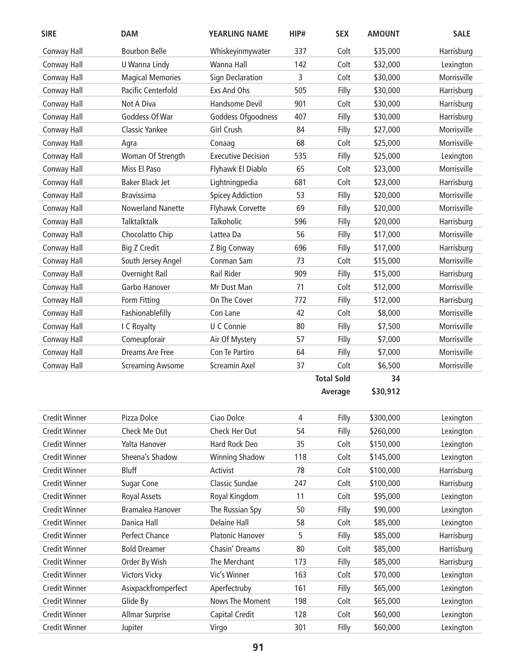| <b>SIRE</b>          | <b>DAM</b>               | <b>YEARLING NAME</b>      | HIP# | <b>SEX</b>        | <b>AMOUNT</b> | <b>SALE</b> |
|----------------------|--------------------------|---------------------------|------|-------------------|---------------|-------------|
| Conway Hall          | <b>Bourbon Belle</b>     | Whiskeyinmywater          | 337  | Colt              | \$35,000      | Harrisburg  |
| Conway Hall          | U Wanna Lindy            | Wanna Hall                | 142  | Colt              | \$32,000      | Lexington   |
| Conway Hall          | <b>Magical Memories</b>  | <b>Sign Declaration</b>   | 3    | Colt              | \$30,000      | Morrisville |
| Conway Hall          | Pacific Centerfold       | Exs And Ohs               | 505  | Filly             | \$30,000      | Harrisburg  |
| Conway Hall          | Not A Diva               | Handsome Devil            | 901  | Colt              | \$30,000      | Harrisburg  |
| Conway Hall          | Goddess Of War           | Goddess Ofgoodness        | 407  | Filly             | \$30,000      | Harrisburg  |
| Conway Hall          | <b>Classic Yankee</b>    | Girl Crush                | 84   | Filly             | \$27,000      | Morrisville |
| Conway Hall          | Agra                     | Conaag                    | 68   | Colt              | \$25,000      | Morrisville |
| Conway Hall          | Woman Of Strength        | <b>Executive Decision</b> | 535  | Filly             | \$25,000      | Lexington   |
| Conway Hall          | Miss El Paso             | Flyhawk El Diablo         | 65   | Colt              | \$23,000      | Morrisville |
| Conway Hall          | Baker Black Jet          | Lightningpedia            | 681  | Colt              | \$23,000      | Harrisburg  |
| Conway Hall          | <b>Bravissima</b>        | <b>Spicey Addiction</b>   | 53   | Filly             | \$20,000      | Morrisville |
| Conway Hall          | <b>Nowerland Nanette</b> | <b>Flyhawk Corvette</b>   | 69   | Filly             | \$20,000      | Morrisville |
| Conway Hall          | Talktalktalk             | Talkoholic                | 596  | Filly             | \$20,000      | Harrisburg  |
| Conway Hall          | Chocolatto Chip          | Lattea Da                 | 56   | Filly             | \$17,000      | Morrisville |
| Conway Hall          | <b>Big Z Credit</b>      | Z Big Conway              | 696  | Filly             | \$17,000      | Harrisburg  |
| Conway Hall          | South Jersey Angel       | Conman Sam                | 73   | Colt              | \$15,000      | Morrisville |
| Conway Hall          | Overnight Rail           | Rail Rider                | 909  | Filly             | \$15,000      | Harrisburg  |
| Conway Hall          | Garbo Hanover            | Mr Dust Man               | 71   | Colt              | \$12,000      | Morrisville |
| Conway Hall          | Form Fitting             | On The Cover              | 772  | Filly             | \$12,000      | Harrisburg  |
| Conway Hall          | Fashionablefilly         | Con Lane                  | 42   | Colt              | \$8,000       | Morrisville |
| Conway Hall          | I C Royalty              | U C Connie                | 80   | Filly             | \$7,500       | Morrisville |
| Conway Hall          | Comeupforair             | Air Of Mystery            | 57   | Filly             | \$7,000       | Morrisville |
| Conway Hall          | Dreams Are Free          | Con Te Partiro            | 64   | Filly             | \$7,000       | Morrisville |
| Conway Hall          | <b>Screaming Awsome</b>  | <b>Screamin Axel</b>      | 37   | Colt              | \$6,500       | Morrisville |
|                      |                          |                           |      | <b>Total Sold</b> | 34            |             |
|                      |                          |                           |      | Average           | \$30,912      |             |
| <b>Credit Winner</b> | Pizza Dolce              | Ciao Dolce                | 4    | Filly             | \$300,000     | Lexington   |
| <b>Credit Winner</b> | Check Me Out             | Check Her Out             | 54   | Filly             | \$260,000     | Lexington   |
| <b>Credit Winner</b> | Yalta Hanover            | Hard Rock Deo             | 35   | Colt              | \$150,000     | Lexington   |
| <b>Credit Winner</b> | Sheena's Shadow          | <b>Winning Shadow</b>     | 118  | Colt              | \$145,000     | Lexington   |
| <b>Credit Winner</b> | Bluff                    | Activist                  | 78   | Colt              | \$100,000     | Harrisburg  |
| <b>Credit Winner</b> | <b>Sugar Cone</b>        | Classic Sundae            | 247  | Colt              | \$100,000     | Harrisburg  |
| <b>Credit Winner</b> | <b>Royal Assets</b>      | Royal Kingdom             | 11   | Colt              | \$95,000      | Lexington   |
| <b>Credit Winner</b> | Bramalea Hanover         | The Russian Spy           | 50   | Filly             | \$90,000      | Lexington   |
| <b>Credit Winner</b> | Danica Hall              | <b>Delaine Hall</b>       | 58   | Colt              | \$85,000      | Lexington   |
| <b>Credit Winner</b> | Perfect Chance           | <b>Platonic Hanover</b>   | 5    | Filly             | \$85,000      | Harrisburg  |
| <b>Credit Winner</b> | <b>Bold Dreamer</b>      | Chasin' Dreams            | 80   | Colt              | \$85,000      | Harrisburg  |
| <b>Credit Winner</b> | Order By Wish            | The Merchant              | 173  | Filly             | \$85,000      | Harrisburg  |
| <b>Credit Winner</b> | <b>Victors Vicky</b>     | Vic's Winner              | 163  | Colt              | \$70,000      | Lexington   |
| <b>Credit Winner</b> | Asixpackfromperfect      | Aperfectruby              | 161  | Filly             | \$65,000      | Lexington   |
| <b>Credit Winner</b> | Glide By                 | Nows The Moment           | 198  | Colt              | \$65,000      | Lexington   |
| <b>Credit Winner</b> | Allmar Surprise          | Capital Credit            | 128  | Colt              | \$60,000      | Lexington   |
| <b>Credit Winner</b> | Jupiter                  | Virgo                     | 301  | Filly             | \$60,000      | Lexington   |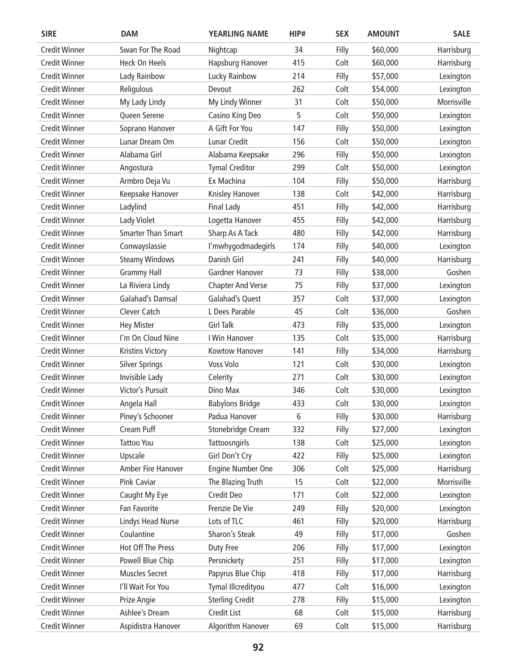| <b>SIRE</b>          | <b>DAM</b>                | <b>YEARLING NAME</b>     | HIP# | <b>SEX</b> | <b>AMOUNT</b> | <b>SALE</b> |
|----------------------|---------------------------|--------------------------|------|------------|---------------|-------------|
| <b>Credit Winner</b> | Swan For The Road         | Nightcap                 | 34   | Filly      | \$60,000      | Harrisburg  |
| <b>Credit Winner</b> | <b>Heck On Heels</b>      | Hapsburg Hanover         | 415  | Colt       | \$60,000      | Harrisburg  |
| <b>Credit Winner</b> | Lady Rainbow              | Lucky Rainbow            | 214  | Filly      | \$57,000      | Lexington   |
| <b>Credit Winner</b> | Religulous                | Devout                   | 262  | Colt       | \$54,000      | Lexington   |
| <b>Credit Winner</b> | My Lady Lindy             | My Lindy Winner          | 31   | Colt       | \$50,000      | Morrisville |
| <b>Credit Winner</b> | Queen Serene              | Casino King Deo          | 5    | Colt       | \$50,000      | Lexington   |
| <b>Credit Winner</b> | Soprano Hanover           | A Gift For You           | 147  | Filly      | \$50,000      | Lexington   |
| <b>Credit Winner</b> | Lunar Dream Om            | Lunar Credit             | 156  | Colt       | \$50,000      | Lexington   |
| <b>Credit Winner</b> | Alabama Girl              | Alabama Keepsake         | 296  | Filly      | \$50,000      | Lexington   |
| <b>Credit Winner</b> | Angostura                 | <b>Tymal Creditor</b>    | 299  | Colt       | \$50,000      | Lexington   |
| <b>Credit Winner</b> | Armbro Deja Vu            | Ex Machina               | 104  | Filly      | \$50,000      | Harrisburg  |
| <b>Credit Winner</b> | Keepsake Hanover          | Knisley Hanover          | 138  | Colt       | \$42,000      | Harrisburg  |
| <b>Credit Winner</b> | Ladylind                  | Final Lady               | 451  | Filly      | \$42,000      | Harrisburg  |
| <b>Credit Winner</b> | Lady Violet               | Logetta Hanover          | 455  | Filly      | \$42,000      | Harrisburg  |
| <b>Credit Winner</b> | <b>Smarter Than Smart</b> | Sharp As A Tack          | 480  | Filly      | \$42,000      | Harrisburg  |
| <b>Credit Winner</b> | Conwayslassie             | I'mwhygodmadegirls       | 174  | Filly      | \$40,000      | Lexington   |
| <b>Credit Winner</b> | <b>Steamy Windows</b>     | Danish Girl              | 241  | Filly      | \$40,000      | Harrisburg  |
| <b>Credit Winner</b> | <b>Grammy Hall</b>        | Gardner Hanover          | 73   | Filly      | \$38,000      | Goshen      |
| <b>Credit Winner</b> | La Riviera Lindy          | <b>Chapter And Verse</b> | 75   | Filly      | \$37,000      | Lexington   |
| <b>Credit Winner</b> | Galahad's Damsal          | Galahad's Quest          | 357  | Colt       | \$37,000      | Lexington   |
| <b>Credit Winner</b> | Clever Catch              | L Dees Parable           | 45   | Colt       | \$36,000      | Goshen      |
| <b>Credit Winner</b> | <b>Hey Mister</b>         | <b>Girl Talk</b>         | 473  | Filly      | \$35,000      | Lexington   |
| <b>Credit Winner</b> | I'm On Cloud Nine         | I Win Hanover            | 135  | Colt       | \$35,000      | Harrisburg  |
| <b>Credit Winner</b> | <b>Kristins Victory</b>   | Kowtow Hanover           | 141  | Filly      | \$34,000      | Harrisburg  |
| <b>Credit Winner</b> | <b>Silver Springs</b>     | Voss Volo                | 121  | Colt       | \$30,000      | Lexington   |
| <b>Credit Winner</b> | Invisible Lady            | Celerity                 | 271  | Colt       | \$30,000      | Lexington   |
| <b>Credit Winner</b> | Victor's Pursuit          | Dino Max                 | 346  | Colt       | \$30,000      | Lexington   |
| <b>Credit Winner</b> | Angela Hall               | <b>Babylons Bridge</b>   | 433  | Colt       | \$30,000      | Lexington   |
| <b>Credit Winner</b> | Piney's Schooner          | Padua Hanover            | 6    | Filly      | \$30,000      | Harrisburg  |
| <b>Credit Winner</b> | Cream Puff                | Stonebridge Cream        | 332  | Filly      | \$27,000      | Lexington   |
| <b>Credit Winner</b> | <b>Tattoo You</b>         | Tattoosngirls            | 138  | Colt       | \$25,000      | Lexington   |
| <b>Credit Winner</b> | Upscale                   | Girl Don't Cry           | 422  | Filly      | \$25,000      | Lexington   |
| <b>Credit Winner</b> | Amber Fire Hanover        | <b>Engine Number One</b> | 306  | Colt       | \$25,000      | Harrisburg  |
| <b>Credit Winner</b> | Pink Caviar               | The Blazing Truth        | 15   | Colt       | \$22,000      | Morrisville |
| <b>Credit Winner</b> | Caught My Eye             | Credit Deo               | 171  | Colt       | \$22,000      | Lexington   |
| <b>Credit Winner</b> | Fan Favorite              | Frenzie De Vie           | 249  | Filly      | \$20,000      | Lexington   |
| <b>Credit Winner</b> | <b>Lindys Head Nurse</b>  | Lots of TLC              | 461  | Filly      | \$20,000      | Harrisburg  |
| <b>Credit Winner</b> | Coulantine                | Sharon's Steak           | 49   | Filly      | \$17,000      | Goshen      |
| <b>Credit Winner</b> | Hot Off The Press         | Duty Free                | 206  | Filly      | \$17,000      | Lexington   |
| <b>Credit Winner</b> | Powell Blue Chip          | Persnickety              | 251  | Filly      | \$17,000      | Lexington   |
| <b>Credit Winner</b> | <b>Muscles Secret</b>     | Papyrus Blue Chip        | 418  | Filly      | \$17,000      | Harrisburg  |
| <b>Credit Winner</b> | I'll Wait For You         | Tymal Illcredityou       | 477  | Colt       | \$16,000      | Lexington   |
| <b>Credit Winner</b> | Prize Angie               | <b>Sterling Credit</b>   | 278  | Filly      | \$15,000      | Lexington   |
| <b>Credit Winner</b> | Ashlee's Dream            | Credit List              | 68   | Colt       | \$15,000      | Harrisburg  |
| <b>Credit Winner</b> | Aspidistra Hanover        | Algorithm Hanover        | 69   | Colt       | \$15,000      | Harrisburg  |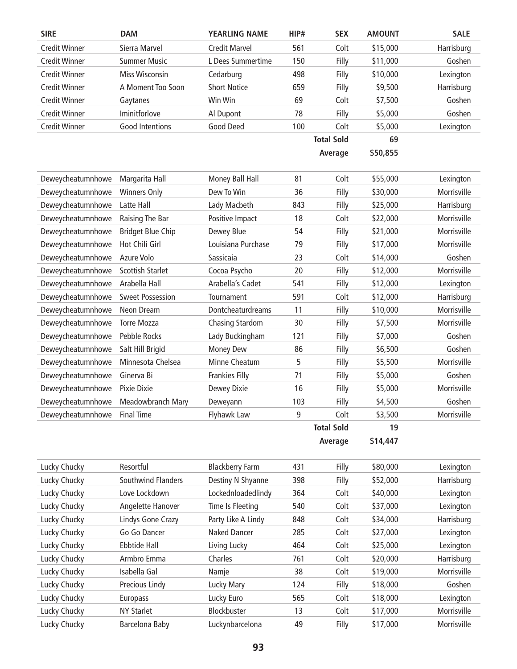| <b>SIRE</b>                  | <b>DAM</b>               | <b>YEARLING NAME</b>   | HIP# | <b>SEX</b>        | <b>AMOUNT</b> | <b>SALE</b> |
|------------------------------|--------------------------|------------------------|------|-------------------|---------------|-------------|
| <b>Credit Winner</b>         | Sierra Marvel            | <b>Credit Marvel</b>   | 561  | Colt              | \$15,000      | Harrisburg  |
| <b>Credit Winner</b>         | <b>Summer Music</b>      | L Dees Summertime      | 150  | Filly             | \$11,000      | Goshen      |
| <b>Credit Winner</b>         | <b>Miss Wisconsin</b>    | Cedarburg              | 498  | Filly             | \$10,000      | Lexington   |
| <b>Credit Winner</b>         | A Moment Too Soon        | <b>Short Notice</b>    | 659  | Filly             | \$9,500       | Harrisburg  |
| <b>Credit Winner</b>         | Gaytanes                 | Win Win                | 69   | Colt              | \$7,500       | Goshen      |
| <b>Credit Winner</b>         | Iminitforlove            | Al Dupont              | 78   | Filly             | \$5,000       | Goshen      |
| <b>Credit Winner</b>         | <b>Good Intentions</b>   | Good Deed              | 100  | Colt              | \$5,000       | Lexington   |
|                              |                          |                        |      | <b>Total Sold</b> | 69            |             |
|                              |                          |                        |      | Average           | \$50,855      |             |
|                              |                          |                        |      |                   |               |             |
| Deweycheatumnhowe            | Margarita Hall           | Money Ball Hall        | 81   | Colt              | \$55,000      | Lexington   |
| Deweycheatumnhowe            | <b>Winners Only</b>      | Dew To Win             | 36   | Filly             | \$30,000      | Morrisville |
| Deweycheatumnhowe            | Latte Hall               | Lady Macbeth           | 843  | Filly             | \$25,000      | Harrisburg  |
| Deweycheatumnhowe            | Raising The Bar          | Positive Impact        | 18   | Colt              | \$22,000      | Morrisville |
| Deweycheatumnhowe            | <b>Bridget Blue Chip</b> | Dewey Blue             | 54   | Filly             | \$21,000      | Morrisville |
| Deweycheatumnhowe            | Hot Chili Girl           | Louisiana Purchase     | 79   | Filly             | \$17,000      | Morrisville |
| Deweycheatumnhowe            | Azure Volo               | Sassicaia              | 23   | Colt              | \$14,000      | Goshen      |
| Deweycheatumnhowe            | <b>Scottish Starlet</b>  | Cocoa Psycho           | 20   | Filly             | \$12,000      | Morrisville |
| Deweycheatumnhowe            | Arabella Hall            | Arabella's Cadet       | 541  | Filly             | \$12,000      | Lexington   |
| Deweycheatumnhowe            | <b>Sweet Possession</b>  | Tournament             | 591  | Colt              | \$12,000      | Harrisburg  |
| Deweycheatumnhowe            | Neon Dream               | Dontcheaturdreams      | 11   | Filly             | \$10,000      | Morrisville |
| Deweycheatumnhowe            | <b>Torre Mozza</b>       | <b>Chasing Stardom</b> | 30   | Filly             | \$7,500       | Morrisville |
| Deweycheatumnhowe            | Pebble Rocks             | Lady Buckingham        | 121  | Filly             | \$7,000       | Goshen      |
| Deweycheatumnhowe            | Salt Hill Brigid         | Money Dew              | 86   | Filly             | \$6,500       | Goshen      |
| Deweycheatumnhowe            | Minnesota Chelsea        | Minne Cheatum          | 5    | Filly             | \$5,500       | Morrisville |
| Deweycheatumnhowe            | Ginerva Bi               | Frankies Filly         | 71   | Filly             | \$5,000       | Goshen      |
| Deweycheatumnhowe            | Pixie Dixie              | <b>Dewey Dixie</b>     | 16   | Filly             | \$5,000       | Morrisville |
| Deweycheatumnhowe            | Meadowbranch Mary        | Deweyann               | 103  | Filly             | \$4,500       | Goshen      |
| Deweycheatumnhowe Final Time |                          | Flyhawk Law            | 9    | Colt              | \$3,500       | Morrisville |
|                              |                          |                        |      | <b>Total Sold</b> | 19            |             |
|                              |                          |                        |      | Average           | \$14,447      |             |
| Lucky Chucky                 | Resortful                | <b>Blackberry Farm</b> | 431  | Filly             | \$80,000      | Lexington   |
| Lucky Chucky                 | Southwind Flanders       | Destiny N Shyanne      | 398  | Filly             | \$52,000      | Harrisburg  |
| Lucky Chucky                 | Love Lockdown            | Lockednloadedlindy     | 364  | Colt              | \$40,000      | Lexington   |
| Lucky Chucky                 | Angelette Hanover        | Time Is Fleeting       | 540  | Colt              | \$37,000      | Lexington   |
| Lucky Chucky                 | Lindys Gone Crazy        | Party Like A Lindy     | 848  | Colt              | \$34,000      | Harrisburg  |
|                              |                          |                        |      |                   |               |             |

Lucky Chucky **Ebbtide Hall** Living Lucky **464** Colt \$25,000 Lexington Lucky Chucky **Armbro Emma** Charles 761 Colt \$20,000 Harrisburg Lucky Chucky **Isabella Gal** Namje 198 Colt \$19,000 Morrisville Lucky Chucky **Precious Lindy Lucky Mary 124** Filly \$18,000 Goshen Lucky Chucky Europass Lucky Euro 565 Colt \$18,000 Lexington Lucky Chucky **NY Starlet** Blockbuster 13 Colt \$17,000 Morrisville Lucky Chucky **Barcelona Baby** Luckynbarcelona 49 Filly \$17,000 Morrisville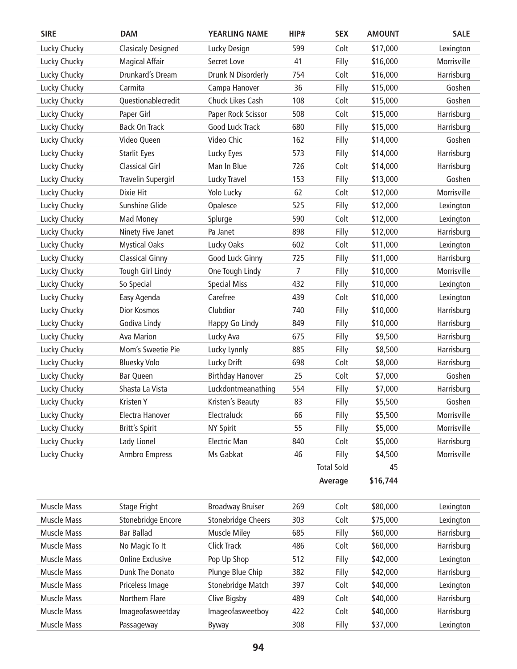| <b>SIRE</b>        | <b>DAM</b>                | <b>YEARLING NAME</b>      | HIP#           | <b>SEX</b>        | <b>AMOUNT</b> | <b>SALE</b> |
|--------------------|---------------------------|---------------------------|----------------|-------------------|---------------|-------------|
| Lucky Chucky       | <b>Clasicaly Designed</b> | Lucky Design              | 599            | Colt              | \$17,000      | Lexington   |
| Lucky Chucky       | <b>Magical Affair</b>     | Secret Love               | 41             | Filly             | \$16,000      | Morrisville |
| Lucky Chucky       | Drunkard's Dream          | Drunk N Disorderly        | 754            | Colt              | \$16,000      | Harrisburg  |
| Lucky Chucky       | Carmita                   | Campa Hanover             | 36             | Filly             | \$15,000      | Goshen      |
| Lucky Chucky       | Questionablecredit        | Chuck Likes Cash          | 108            | Colt              | \$15,000      | Goshen      |
| Lucky Chucky       | Paper Girl                | Paper Rock Scissor        | 508            | Colt              | \$15,000      | Harrisburg  |
| Lucky Chucky       | <b>Back On Track</b>      | Good Luck Track           | 680            | Filly             | \$15,000      | Harrisburg  |
| Lucky Chucky       | Video Queen               | Video Chic                | 162            | Filly             | \$14,000      | Goshen      |
| Lucky Chucky       | <b>Starlit Eyes</b>       | Lucky Eyes                | 573            | Filly             | \$14,000      | Harrisburg  |
| Lucky Chucky       | <b>Classical Girl</b>     | Man In Blue               | 726            | Colt              | \$14,000      | Harrisburg  |
| Lucky Chucky       | <b>Travelin Supergirl</b> | Lucky Travel              | 153            | Filly             | \$13,000      | Goshen      |
| Lucky Chucky       | Dixie Hit                 | Yolo Lucky                | 62             | Colt              | \$12,000      | Morrisville |
| Lucky Chucky       | Sunshine Glide            | Opalesce                  | 525            | Filly             | \$12,000      | Lexington   |
| Lucky Chucky       | Mad Money                 | Splurge                   | 590            | Colt              | \$12,000      | Lexington   |
| Lucky Chucky       | Ninety Five Janet         | Pa Janet                  | 898            | Filly             | \$12,000      | Harrisburg  |
| Lucky Chucky       | <b>Mystical Oaks</b>      | Lucky Oaks                | 602            | Colt              | \$11,000      | Lexington   |
| Lucky Chucky       | <b>Classical Ginny</b>    | Good Luck Ginny           | 725            | Filly             | \$11,000      | Harrisburg  |
| Lucky Chucky       | Tough Girl Lindy          | One Tough Lindy           | $\overline{7}$ | Filly             | \$10,000      | Morrisville |
| Lucky Chucky       | So Special                | <b>Special Miss</b>       | 432            | Filly             | \$10,000      | Lexington   |
| Lucky Chucky       | Easy Agenda               | Carefree                  | 439            | Colt              | \$10,000      | Lexington   |
| Lucky Chucky       | Dior Kosmos               | Clubdior                  | 740            | Filly             | \$10,000      | Harrisburg  |
| Lucky Chucky       | Godiva Lindy              | Happy Go Lindy            | 849            | Filly             | \$10,000      | Harrisburg  |
| Lucky Chucky       | <b>Ava Marion</b>         | Lucky Ava                 | 675            | Filly             | \$9,500       | Harrisburg  |
| Lucky Chucky       | Mom's Sweetie Pie         | Lucky Lynnly              | 885            | Filly             | \$8,500       | Harrisburg  |
| Lucky Chucky       | <b>Bluesky Volo</b>       | Lucky Drift               | 698            | Colt              | \$8,000       | Harrisburg  |
| Lucky Chucky       | <b>Bar Queen</b>          | <b>Birthday Hanover</b>   | 25             | Colt              | \$7,000       | Goshen      |
| Lucky Chucky       | Shasta La Vista           | Luckdontmeanathing        | 554            | Filly             | \$7,000       | Harrisburg  |
| Lucky Chucky       | Kristen Y                 | Kristen's Beauty          | 83             | Filly             | \$5,500       | Goshen      |
| Lucky Chucky       | Electra Hanover           | Electraluck               | 66             | Filly             | \$5,500       | Morrisville |
| Lucky Chucky       | <b>Britt's Spirit</b>     | <b>NY Spirit</b>          | 55             | Filly             | \$5,000       | Morrisville |
| Lucky Chucky       | Lady Lionel               | <b>Electric Man</b>       | 840            | Colt              | \$5,000       | Harrisburg  |
| Lucky Chucky       | Armbro Empress            | Ms Gabkat                 | 46             | Filly             | \$4,500       | Morrisville |
|                    |                           |                           |                | <b>Total Sold</b> | 45            |             |
|                    |                           |                           |                | Average           | \$16,744      |             |
|                    |                           |                           |                |                   |               |             |
| <b>Muscle Mass</b> | Stage Fright              | <b>Broadway Bruiser</b>   | 269            | Colt              | \$80,000      | Lexington   |
| <b>Muscle Mass</b> | Stonebridge Encore        | <b>Stonebridge Cheers</b> | 303            | Colt              | \$75,000      | Lexington   |
| <b>Muscle Mass</b> | <b>Bar Ballad</b>         | <b>Muscle Miley</b>       | 685            | Filly             | \$60,000      | Harrisburg  |
| <b>Muscle Mass</b> | No Magic To It            | <b>Click Track</b>        | 486            | Colt              | \$60,000      | Harrisburg  |
| <b>Muscle Mass</b> | <b>Online Exclusive</b>   | Pop Up Shop               | 512            | Filly             | \$42,000      | Lexington   |
| <b>Muscle Mass</b> | Dunk The Donato           | Plunge Blue Chip          | 382            | Filly             | \$42,000      | Harrisburg  |
| <b>Muscle Mass</b> | Priceless Image           | <b>Stonebridge Match</b>  | 397            | Colt              | \$40,000      | Lexington   |
| <b>Muscle Mass</b> | Northern Flare            | Clive Bigsby              | 489            | Colt              | \$40,000      | Harrisburg  |
| <b>Muscle Mass</b> | Imageofasweetday          | Imageofasweetboy          | 422            | Colt              | \$40,000      | Harrisburg  |
| Muscle Mass        | Passageway                | Byway                     | 308            | Filly             | \$37,000      | Lexington   |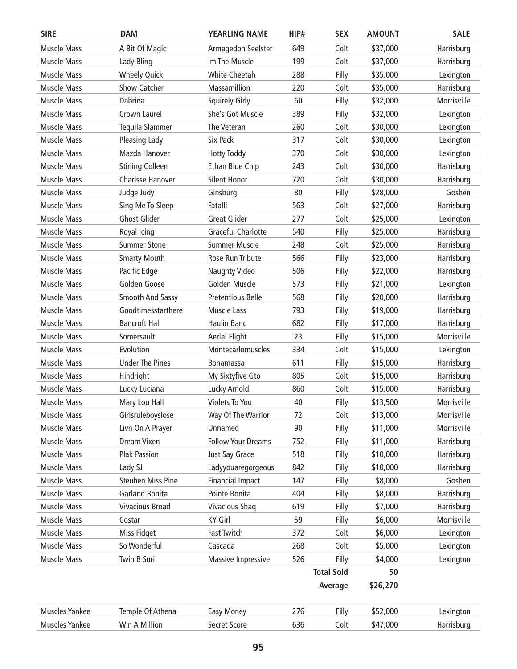| <b>SIRE</b>           | <b>DAM</b>               | <b>YEARLING NAME</b>      | HIP# | <b>SEX</b>        | <b>AMOUNT</b> | <b>SALE</b> |
|-----------------------|--------------------------|---------------------------|------|-------------------|---------------|-------------|
| <b>Muscle Mass</b>    | A Bit Of Magic           | Armagedon Seelster        | 649  | Colt              | \$37,000      | Harrisburg  |
| <b>Muscle Mass</b>    | Lady Bling               | Im The Muscle             | 199  | Colt              | \$37,000      | Harrisburg  |
| <b>Muscle Mass</b>    | <b>Wheely Quick</b>      | <b>White Cheetah</b>      | 288  | Filly             | \$35,000      | Lexington   |
| Muscle Mass           | <b>Show Catcher</b>      | Massamillion              | 220  | Colt              | \$35,000      | Harrisburg  |
| Muscle Mass           | Dabrina                  | <b>Squirely Girly</b>     | 60   | Filly             | \$32,000      | Morrisville |
| <b>Muscle Mass</b>    | Crown Laurel             | She's Got Muscle          | 389  | Filly             | \$32,000      | Lexington   |
| <b>Muscle Mass</b>    | Tequila Slammer          | The Veteran               | 260  | Colt              | \$30,000      | Lexington   |
| <b>Muscle Mass</b>    | Pleasing Lady            | Six Pack                  | 317  | Colt              | \$30,000      | Lexington   |
| <b>Muscle Mass</b>    | Mazda Hanover            | <b>Hotty Toddy</b>        | 370  | Colt              | \$30,000      | Lexington   |
| Muscle Mass           | <b>Stirling Colleen</b>  | Ethan Blue Chip           | 243  | Colt              | \$30,000      | Harrisburg  |
| <b>Muscle Mass</b>    | <b>Charisse Hanover</b>  | <b>Silent Honor</b>       | 720  | Colt              | \$30,000      | Harrisburg  |
| <b>Muscle Mass</b>    | Judge Judy               | Ginsburg                  | 80   | Filly             | \$28,000      | Goshen      |
| Muscle Mass           | Sing Me To Sleep         | Fatalli                   | 563  | Colt              | \$27,000      | Harrisburg  |
| <b>Muscle Mass</b>    | <b>Ghost Glider</b>      | <b>Great Glider</b>       | 277  | Colt              | \$25,000      | Lexington   |
| <b>Muscle Mass</b>    | Royal Icing              | Graceful Charlotte        | 540  | Filly             | \$25,000      | Harrisburg  |
| Muscle Mass           | <b>Summer Stone</b>      | <b>Summer Muscle</b>      | 248  | Colt              | \$25,000      | Harrisburg  |
| <b>Muscle Mass</b>    | <b>Smarty Mouth</b>      | Rose Run Tribute          | 566  | Filly             | \$23,000      | Harrisburg  |
| <b>Muscle Mass</b>    | Pacific Edge             | <b>Naughty Video</b>      | 506  | Filly             | \$22,000      | Harrisburg  |
| <b>Muscle Mass</b>    | Golden Goose             | Golden Muscle             | 573  | Filly             | \$21,000      | Lexington   |
| <b>Muscle Mass</b>    | <b>Smooth And Sassy</b>  | <b>Pretentious Belle</b>  | 568  | Filly             | \$20,000      | Harrisburg  |
| <b>Muscle Mass</b>    | Goodtimesstarthere       | Muscle Lass               | 793  | Filly             | \$19,000      | Harrisburg  |
| <b>Muscle Mass</b>    | <b>Bancroft Hall</b>     | Haulin Banc               | 682  | Filly             | \$17,000      | Harrisburg  |
| Muscle Mass           | Somersault               | <b>Aerial Flight</b>      | 23   | Filly             | \$15,000      | Morrisville |
| <b>Muscle Mass</b>    | Evolution                | Montecarlomuscles         | 334  | Colt              | \$15,000      | Lexington   |
| <b>Muscle Mass</b>    | <b>Under The Pines</b>   | <b>Bonamassa</b>          | 611  | Filly             | \$15,000      | Harrisburg  |
| <b>Muscle Mass</b>    | Hindright                | My Sixtyfive Gto          | 805  | Colt              | \$15,000      | Harrisburg  |
| <b>Muscle Mass</b>    | Lucky Luciana            | Lucky Arnold              | 860  | Colt              | \$15,000      | Harrisburg  |
| Muscle Mass           | Mary Lou Hall            | <b>Violets To You</b>     | 40   | Filly             | \$13,500      | Morrisville |
| <b>Muscle Mass</b>    | Girlsruleboyslose        | Way Of The Warrior        | 72   | Colt              | \$13,000      | Morrisville |
| <b>Muscle Mass</b>    | Livn On A Prayer         | Unnamed                   | 90   | Filly             | \$11,000      | Morrisville |
| <b>Muscle Mass</b>    | Dream Vixen              | <b>Follow Your Dreams</b> | 752  | Filly             | \$11,000      | Harrisburg  |
| <b>Muscle Mass</b>    | <b>Plak Passion</b>      | Just Say Grace            | 518  | Filly             | \$10,000      | Harrisburg  |
| <b>Muscle Mass</b>    | Lady SJ                  | Ladyyouaregorgeous        | 842  | Filly             | \$10,000      | Harrisburg  |
| <b>Muscle Mass</b>    | <b>Steuben Miss Pine</b> | <b>Financial Impact</b>   | 147  | Filly             | \$8,000       | Goshen      |
| <b>Muscle Mass</b>    | <b>Garland Bonita</b>    | Pointe Bonita             | 404  | Filly             | \$8,000       | Harrisburg  |
| <b>Muscle Mass</b>    | Vivacious Broad          | <b>Vivacious Shaq</b>     | 619  | Filly             | \$7,000       | Harrisburg  |
| <b>Muscle Mass</b>    | Costar                   | <b>KY Girl</b>            | 59   | Filly             | \$6,000       | Morrisville |
| <b>Muscle Mass</b>    | Miss Fidget              | <b>Fast Twitch</b>        | 372  | Colt              | \$6,000       | Lexington   |
| <b>Muscle Mass</b>    | So Wonderful             | Cascada                   | 268  | Colt              | \$5,000       | Lexington   |
| <b>Muscle Mass</b>    | Twin B Suri              | Massive Impressive        | 526  | Filly             | \$4,000       | Lexington   |
|                       |                          |                           |      | <b>Total Sold</b> | 50            |             |
|                       |                          |                           |      | Average           | \$26,270      |             |
| Muscles Yankee        | Temple Of Athena         | Easy Money                | 276  | Filly             | \$52,000      | Lexington   |
| <b>Muscles Yankee</b> | Win A Million            | Secret Score              | 636  | Colt              | \$47,000      | Harrisburg  |
|                       |                          |                           |      |                   |               |             |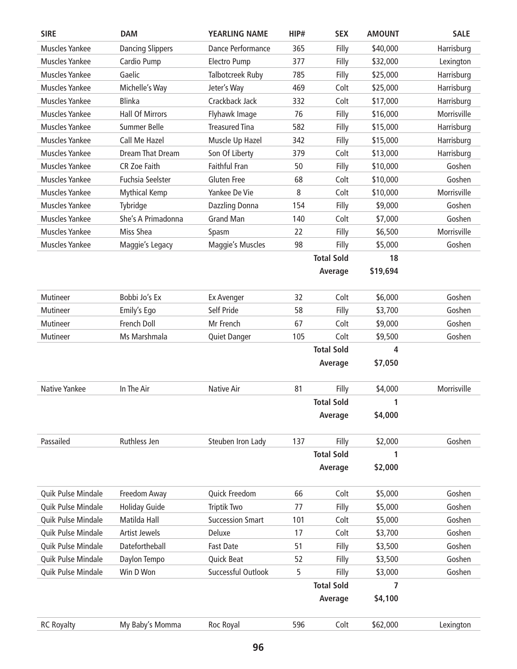| <b>SIRE</b>           | <b>DAM</b>              | <b>YEARLING NAME</b>    | HIP# | <b>SEX</b>        | <b>AMOUNT</b> | <b>SALE</b> |
|-----------------------|-------------------------|-------------------------|------|-------------------|---------------|-------------|
| <b>Muscles Yankee</b> | <b>Dancing Slippers</b> | Dance Performance       | 365  | Filly             | \$40,000      | Harrisburg  |
| <b>Muscles Yankee</b> | Cardio Pump             | <b>Electro Pump</b>     | 377  | Filly             | \$32,000      | Lexington   |
| <b>Muscles Yankee</b> | Gaelic                  | Talbotcreek Ruby        | 785  | Filly             | \$25,000      | Harrisburg  |
| <b>Muscles Yankee</b> | Michelle's Way          | Jeter's Way             | 469  | Colt              | \$25,000      | Harrisburg  |
| <b>Muscles Yankee</b> | <b>Blinka</b>           | Crackback Jack          | 332  | Colt              | \$17,000      | Harrisburg  |
| <b>Muscles Yankee</b> | <b>Hall Of Mirrors</b>  | Flyhawk Image           | 76   | Filly             | \$16,000      | Morrisville |
| <b>Muscles Yankee</b> | <b>Summer Belle</b>     | <b>Treasured Tina</b>   | 582  | Filly             | \$15,000      | Harrisburg  |
| <b>Muscles Yankee</b> | Call Me Hazel           | Muscle Up Hazel         | 342  | Filly             | \$15,000      | Harrisburg  |
| <b>Muscles Yankee</b> | Dream That Dream        | Son Of Liberty          | 379  | Colt              | \$13,000      | Harrisburg  |
| Muscles Yankee        | <b>CR Zoe Faith</b>     | <b>Faithful Fran</b>    | 50   | Filly             | \$10,000      | Goshen      |
| <b>Muscles Yankee</b> | <b>Fuchsia Seelster</b> | <b>Gluten Free</b>      | 68   | Colt              | \$10,000      | Goshen      |
| <b>Muscles Yankee</b> | <b>Mythical Kemp</b>    | Yankee De Vie           | 8    | Colt              | \$10,000      | Morrisville |
| <b>Muscles Yankee</b> | Tybridge                | Dazzling Donna          | 154  | Filly             | \$9,000       | Goshen      |
| <b>Muscles Yankee</b> | She's A Primadonna      | <b>Grand Man</b>        | 140  | Colt              | \$7,000       | Goshen      |
| <b>Muscles Yankee</b> | Miss Shea               | Spasm                   | 22   | Filly             | \$6,500       | Morrisville |
| <b>Muscles Yankee</b> | Maggie's Legacy         | Maggie's Muscles        | 98   | Filly             | \$5,000       | Goshen      |
|                       |                         |                         |      | <b>Total Sold</b> | 18            |             |
|                       |                         |                         |      | Average           | \$19,694      |             |
|                       |                         |                         |      |                   |               |             |
| Mutineer              | Bobbi Jo's Ex           | Ex Avenger              | 32   | Colt              | \$6,000       | Goshen      |
| Mutineer              | Emily's Ego             | Self Pride              | 58   | Filly             | \$3,700       | Goshen      |
| Mutineer              | French Doll             | Mr French               | 67   | Colt              | \$9,000       | Goshen      |
| Mutineer              | Ms Marshmala            | Quiet Danger            | 105  | Colt              | \$9,500       | Goshen      |
|                       |                         |                         |      | <b>Total Sold</b> | 4             |             |
|                       |                         |                         |      | Average           | \$7,050       |             |
|                       |                         |                         |      |                   |               |             |
| Native Yankee         | In The Air              | Native Air              | 81   | Filly             | \$4,000       | Morrisville |
|                       |                         |                         |      | <b>Total Sold</b> | 1             |             |
|                       |                         |                         |      | Average           | \$4,000       |             |
|                       |                         |                         |      |                   |               |             |
| Passailed             | Ruthless Jen            | Steuben Iron Lady       | 137  | Filly             | \$2,000       | Goshen      |
|                       |                         |                         |      | <b>Total Sold</b> | 1             |             |
|                       |                         |                         |      | Average           | \$2,000       |             |
|                       |                         |                         |      |                   |               |             |
| Quik Pulse Mindale    | Freedom Away            | Quick Freedom           | 66   | Colt              | \$5,000       | Goshen      |
| Quik Pulse Mindale    | <b>Holiday Guide</b>    | <b>Triptik Two</b>      | 77   | Filly             | \$5,000       | Goshen      |
| Quik Pulse Mindale    | Matilda Hall            | <b>Succession Smart</b> | 101  | Colt              | \$5,000       | Goshen      |
| Quik Pulse Mindale    | <b>Artist Jewels</b>    | Deluxe                  | 17   | Colt              | \$3,700       | Goshen      |
| Quik Pulse Mindale    | Datefortheball          | <b>Fast Date</b>        | 51   | Filly             | \$3,500       | Goshen      |
| Quik Pulse Mindale    | Daylon Tempo            | Quick Beat              | 52   | Filly             | \$3,500       | Goshen      |
| Quik Pulse Mindale    | Win D Won               | Successful Outlook      | 5    | Filly             | \$3,000       | Goshen      |
|                       |                         |                         |      | <b>Total Sold</b> | 7             |             |
|                       |                         |                         |      | Average           | \$4,100       |             |
|                       |                         |                         |      |                   |               |             |
| <b>RC Royalty</b>     | My Baby's Momma         | Roc Royal               | 596  | Colt              | \$62,000      | Lexington   |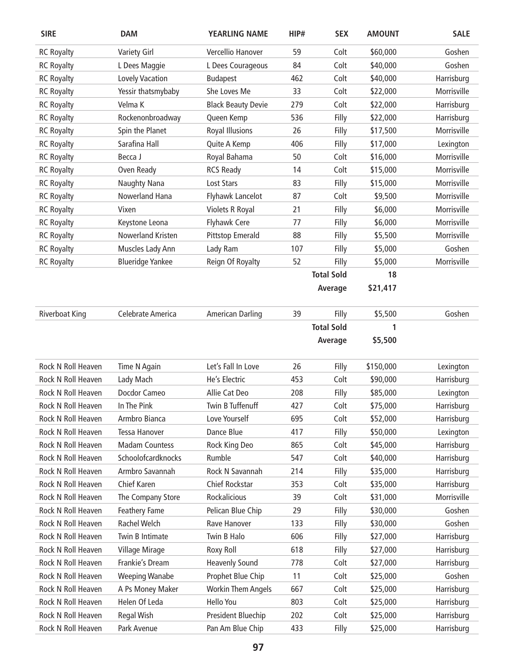| <b>SIRE</b>               | <b>DAM</b>              | <b>YEARLING NAME</b>      | HIP# | <b>SEX</b>        | <b>AMOUNT</b> | <b>SALE</b> |
|---------------------------|-------------------------|---------------------------|------|-------------------|---------------|-------------|
| <b>RC Royalty</b>         | <b>Variety Girl</b>     | Vercellio Hanover         | 59   | Colt              | \$60,000      | Goshen      |
| <b>RC Royalty</b>         | L Dees Maggie           | L Dees Courageous         | 84   | Colt              | \$40,000      | Goshen      |
| <b>RC Royalty</b>         | Lovely Vacation         | <b>Budapest</b>           | 462  | Colt              | \$40,000      | Harrisburg  |
| <b>RC Royalty</b>         | Yessir thatsmybaby      | She Loves Me              | 33   | Colt              | \$22,000      | Morrisville |
| <b>RC Royalty</b>         | Velma K                 | <b>Black Beauty Devie</b> | 279  | Colt              | \$22,000      | Harrisburg  |
| <b>RC Royalty</b>         | Rockenonbroadway        | Queen Kemp                | 536  | Filly             | \$22,000      | Harrisburg  |
| <b>RC Royalty</b>         | Spin the Planet         | <b>Royal Illusions</b>    | 26   | Filly             | \$17,500      | Morrisville |
| <b>RC Royalty</b>         | Sarafina Hall           | Quite A Kemp              | 406  | Filly             | \$17,000      | Lexington   |
| <b>RC Royalty</b>         | Becca J                 | Royal Bahama              | 50   | Colt              | \$16,000      | Morrisville |
| <b>RC Royalty</b>         | Oven Ready              | <b>RCS Ready</b>          | 14   | Colt              | \$15,000      | Morrisville |
| <b>RC Royalty</b>         | Naughty Nana            | Lost Stars                | 83   | Filly             | \$15,000      | Morrisville |
| <b>RC Royalty</b>         | Nowerland Hana          | Flyhawk Lancelot          | 87   | Colt              | \$9,500       | Morrisville |
| <b>RC Royalty</b>         | Vixen                   | Violets R Royal           | 21   | Filly             | \$6,000       | Morrisville |
| <b>RC Royalty</b>         | Keystone Leona          | <b>Flyhawk Cere</b>       | 77   | Filly             | \$6,000       | Morrisville |
| <b>RC Royalty</b>         | Nowerland Kristen       | Pittstop Emerald          | 88   | Filly             | \$5,500       | Morrisville |
| <b>RC Royalty</b>         | Muscles Lady Ann        | Lady Ram                  | 107  | Filly             | \$5,000       | Goshen      |
| <b>RC Royalty</b>         | <b>Blueridge Yankee</b> | Reign Of Royalty          | 52   | Filly             | \$5,000       | Morrisville |
|                           |                         |                           |      | <b>Total Sold</b> | 18            |             |
|                           |                         |                           |      | Average           | \$21,417      |             |
| <b>Riverboat King</b>     | Celebrate America       | <b>American Darling</b>   | 39   | Filly             | \$5,500       | Goshen      |
|                           |                         |                           |      | <b>Total Sold</b> | 1             |             |
|                           |                         |                           |      | Average           | \$5,500       |             |
| Rock N Roll Heaven        | Time N Again            | Let's Fall In Love        | 26   | Filly             | \$150,000     | Lexington   |
| Rock N Roll Heaven        | Lady Mach               | He's Electric             | 453  | Colt              | \$90,000      | Harrisburg  |
| Rock N Roll Heaven        | Docdor Cameo            | Allie Cat Deo             | 208  | Filly             | \$85,000      | Lexington   |
| Rock N Roll Heaven        | In The Pink             | Twin B Tuffenuff          | 427  | Colt              | \$75,000      | Harrisburg  |
| <b>Rock N Roll Heaven</b> | Armbro Bianca           | Love Yourself             | 695  | Colt              | \$52,000      | Harrisburg  |
| Rock N Roll Heaven        | <b>Tessa Hanover</b>    | Dance Blue                | 417  | Filly             | \$50,000      | Lexington   |
| Rock N Roll Heaven        | <b>Madam Countess</b>   | Rock King Deo             | 865  | Colt              | \$45,000      | Harrisburg  |
| Rock N Roll Heaven        | Schoolofcardknocks      | Rumble                    | 547  | Colt              | \$40,000      | Harrisburg  |
| Rock N Roll Heaven        | Armbro Savannah         | Rock N Savannah           | 214  | Filly             | \$35,000      | Harrisburg  |
| Rock N Roll Heaven        | Chief Karen             | <b>Chief Rockstar</b>     | 353  | Colt              | \$35,000      | Harrisburg  |
| Rock N Roll Heaven        | The Company Store       | Rockalicious              | 39   | Colt              | \$31,000      | Morrisville |
| Rock N Roll Heaven        | Feathery Fame           | Pelican Blue Chip         | 29   | Filly             | \$30,000      | Goshen      |
| Rock N Roll Heaven        | Rachel Welch            | Rave Hanover              | 133  | Filly             | \$30,000      | Goshen      |
| Rock N Roll Heaven        | Twin B Intimate         | Twin B Halo               | 606  | Filly             | \$27,000      | Harrisburg  |
| Rock N Roll Heaven        | Village Mirage          | Roxy Roll                 | 618  | Filly             | \$27,000      | Harrisburg  |
| Rock N Roll Heaven        | Frankie's Dream         | <b>Heavenly Sound</b>     | 778  | Colt              | \$27,000      | Harrisburg  |
| Rock N Roll Heaven        | <b>Weeping Wanabe</b>   | Prophet Blue Chip         | 11   | Colt              | \$25,000      | Goshen      |
| Rock N Roll Heaven        | A Ps Money Maker        | <b>Workin Them Angels</b> | 667  | Colt              | \$25,000      | Harrisburg  |
| Rock N Roll Heaven        | Helen Of Leda           | Hello You                 | 803  | Colt              | \$25,000      | Harrisburg  |
| Rock N Roll Heaven        | Regal Wish              | President Bluechip        | 202  | Colt              | \$25,000      | Harrisburg  |
| Rock N Roll Heaven        | Park Avenue             | Pan Am Blue Chip          | 433  | Filly             | \$25,000      | Harrisburg  |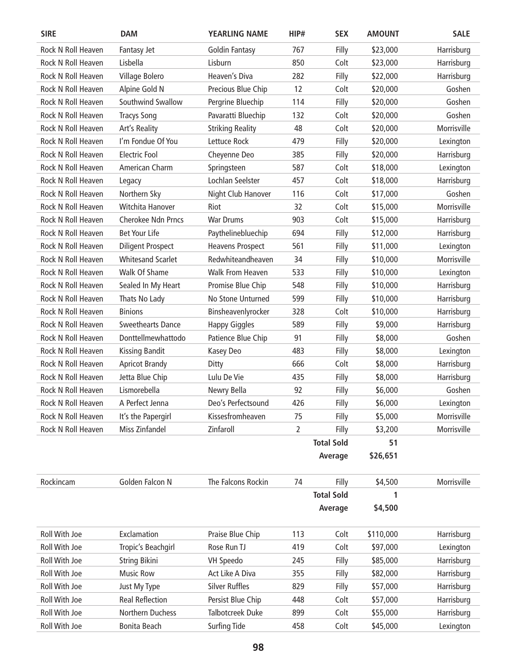| <b>SIRE</b>        | <b>DAM</b>               | <b>YEARLING NAME</b>    | HIP# | <b>SEX</b>        | <b>AMOUNT</b> | <b>SALE</b> |
|--------------------|--------------------------|-------------------------|------|-------------------|---------------|-------------|
| Rock N Roll Heaven | Fantasy Jet              | <b>Goldin Fantasy</b>   | 767  | Filly             | \$23,000      | Harrisburg  |
| Rock N Roll Heaven | Lisbella                 | Lisburn                 | 850  | Colt              | \$23,000      | Harrisburg  |
| Rock N Roll Heaven | Village Bolero           | Heaven's Diva           | 282  | Filly             | \$22,000      | Harrisburg  |
| Rock N Roll Heaven | Alpine Gold N            | Precious Blue Chip      | 12   | Colt              | \$20,000      | Goshen      |
| Rock N Roll Heaven | Southwind Swallow        | Pergrine Bluechip       | 114  | Filly             | \$20,000      | Goshen      |
| Rock N Roll Heaven | <b>Tracys Song</b>       | Pavaratti Bluechip      | 132  | Colt              | \$20,000      | Goshen      |
| Rock N Roll Heaven | Art's Reality            | <b>Striking Reality</b> | 48   | Colt              | \$20,000      | Morrisville |
| Rock N Roll Heaven | I'm Fondue Of You        | Lettuce Rock            | 479  | Filly             | \$20,000      | Lexington   |
| Rock N Roll Heaven | <b>Electric Fool</b>     | Cheyenne Deo            | 385  | Filly             | \$20,000      | Harrisburg  |
| Rock N Roll Heaven | American Charm           | Springsteen             | 587  | Colt              | \$18,000      | Lexington   |
| Rock N Roll Heaven | Legacy                   | Lochlan Seelster        | 457  | Colt              | \$18,000      | Harrisburg  |
| Rock N Roll Heaven | Northern Sky             | Night Club Hanover      | 116  | Colt              | \$17,000      | Goshen      |
| Rock N Roll Heaven | Witchita Hanover         | Riot                    | 32   | Colt              | \$15,000      | Morrisville |
| Rock N Roll Heaven | Cherokee Ndn Prncs       | <b>War Drums</b>        | 903  | Colt              | \$15,000      | Harrisburg  |
| Rock N Roll Heaven | <b>Bet Your Life</b>     | Paythelinebluechip      | 694  | Filly             | \$12,000      | Harrisburg  |
| Rock N Roll Heaven | <b>Diligent Prospect</b> | <b>Heavens Prospect</b> | 561  | Filly             | \$11,000      | Lexington   |
| Rock N Roll Heaven | <b>Whitesand Scarlet</b> | Redwhiteandheaven       | 34   | Filly             | \$10,000      | Morrisville |
| Rock N Roll Heaven | Walk Of Shame            | <b>Walk From Heaven</b> | 533  | Filly             | \$10,000      | Lexington   |
| Rock N Roll Heaven | Sealed In My Heart       | Promise Blue Chip       | 548  | Filly             | \$10,000      | Harrisburg  |
| Rock N Roll Heaven | Thats No Lady            | No Stone Unturned       | 599  | Filly             | \$10,000      | Harrisburg  |
| Rock N Roll Heaven | <b>Binions</b>           | Binsheavenlyrocker      | 328  | Colt              | \$10,000      | Harrisburg  |
| Rock N Roll Heaven | <b>Sweethearts Dance</b> | <b>Happy Giggles</b>    | 589  | Filly             | \$9,000       | Harrisburg  |
| Rock N Roll Heaven | Donttellmewhattodo       | Patience Blue Chip      | 91   | Filly             | \$8,000       | Goshen      |
| Rock N Roll Heaven | <b>Kissing Bandit</b>    | Kasey Deo               | 483  | Filly             | \$8,000       | Lexington   |
| Rock N Roll Heaven | <b>Apricot Brandy</b>    | Ditty                   | 666  | Colt              | \$8,000       | Harrisburg  |
| Rock N Roll Heaven | Jetta Blue Chip          | Lulu De Vie             | 435  | Filly             | \$8,000       | Harrisburg  |
| Rock N Roll Heaven | Lismorebella             | Newry Bella             | 92   | Filly             | \$6,000       | Goshen      |
| Rock N Roll Heaven | A Perfect Jenna          | Deo's Perfectsound      | 426  | Filly             | \$6,000       | Lexington   |
| Rock N Roll Heaven | It's the Papergirl       | Kissesfromheaven        | 75   | Filly             | \$5,000       | Morrisville |
| Rock N Roll Heaven | Miss Zinfandel           | Zinfaroll               | 2    | Filly             | \$3,200       | Morrisville |
|                    |                          |                         |      | <b>Total Sold</b> | 51            |             |
|                    |                          |                         |      | Average           | \$26,651      |             |
| Rockincam          | Golden Falcon N          | The Falcons Rockin      | 74   | Filly             | \$4,500       | Morrisville |
|                    |                          |                         |      | <b>Total Sold</b> | 1             |             |
|                    |                          |                         |      | Average           | \$4,500       |             |
| Roll With Joe      | Exclamation              | Praise Blue Chip        | 113  | Colt              | \$110,000     | Harrisburg  |
| Roll With Joe      | Tropic's Beachgirl       | Rose Run TJ             | 419  | Colt              | \$97,000      | Lexington   |
| Roll With Joe      | <b>String Bikini</b>     | <b>VH Speedo</b>        | 245  | Filly             | \$85,000      | Harrisburg  |
| Roll With Joe      | <b>Music Row</b>         | Act Like A Diva         | 355  | Filly             | \$82,000      | Harrisburg  |
| Roll With Joe      | Just My Type             | <b>Silver Ruffles</b>   | 829  | Filly             | \$57,000      | Harrisburg  |
| Roll With Joe      | <b>Real Reflection</b>   | Persist Blue Chip       | 448  | Colt              | \$57,000      | Harrisburg  |
| Roll With Joe      | Northern Duchess         | Talbotcreek Duke        | 899  | Colt              | \$55,000      | Harrisburg  |
| Roll With Joe      | <b>Bonita Beach</b>      | <b>Surfing Tide</b>     | 458  | Colt              | \$45,000      | Lexington   |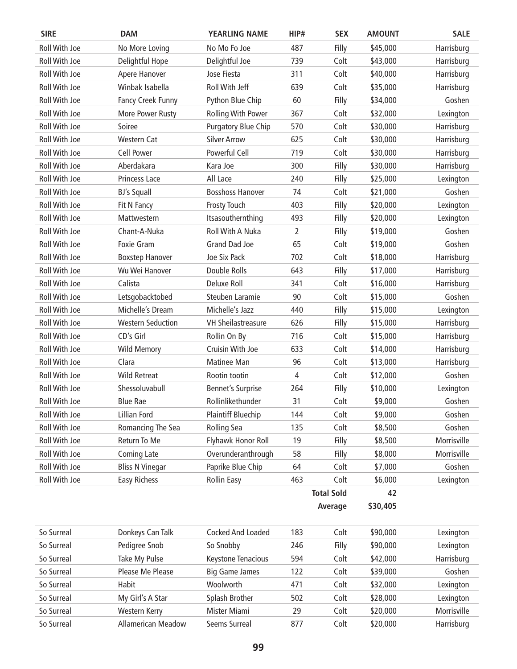| <b>SIRE</b>   | <b>DAM</b>               | <b>YEARLING NAME</b>       | HIP# | <b>SEX</b>        | <b>AMOUNT</b> | <b>SALE</b> |
|---------------|--------------------------|----------------------------|------|-------------------|---------------|-------------|
| Roll With Joe | No More Loving           | No Mo Fo Joe               | 487  | Filly             | \$45,000      | Harrisburg  |
| Roll With Joe | Delightful Hope          | Delightful Joe             | 739  | Colt              | \$43,000      | Harrisburg  |
| Roll With Joe | Apere Hanover            | Jose Fiesta                | 311  | Colt              | \$40,000      | Harrisburg  |
| Roll With Joe | Winbak Isabella          | Roll With Jeff             | 639  | Colt              | \$35,000      | Harrisburg  |
| Roll With Joe | Fancy Creek Funny        | Python Blue Chip           | 60   | Filly             | \$34,000      | Goshen      |
| Roll With Joe | More Power Rusty         | <b>Rolling With Power</b>  | 367  | Colt              | \$32,000      | Lexington   |
| Roll With Joe | Soiree                   | <b>Purgatory Blue Chip</b> | 570  | Colt              | \$30,000      | Harrisburg  |
| Roll With Joe | <b>Western Cat</b>       | <b>Silver Arrow</b>        | 625  | Colt              | \$30,000      | Harrisburg  |
| Roll With Joe | <b>Cell Power</b>        | Powerful Cell              | 719  | Colt              | \$30,000      | Harrisburg  |
| Roll With Joe | Aberdakara               | Kara Joe                   | 300  | Filly             | \$30,000      | Harrisburg  |
| Roll With Joe | Princess Lace            | All Lace                   | 240  | Filly             | \$25,000      | Lexington   |
| Roll With Joe | <b>BJ's Squall</b>       | <b>Bosshoss Hanover</b>    | 74   | Colt              | \$21,000      | Goshen      |
| Roll With Joe | Fit N Fancy              | <b>Frosty Touch</b>        | 403  | Filly             | \$20,000      | Lexington   |
| Roll With Joe | Mattwestern              | Itsasouthernthing          | 493  | Filly             | \$20,000      | Lexington   |
| Roll With Joe | Chant-A-Nuka             | Roll With A Nuka           | 2    | Filly             | \$19,000      | Goshen      |
| Roll With Joe | <b>Foxie Gram</b>        | <b>Grand Dad Joe</b>       | 65   | Colt              | \$19,000      | Goshen      |
| Roll With Joe | <b>Boxstep Hanover</b>   | Joe Six Pack               | 702  | Colt              | \$18,000      | Harrisburg  |
| Roll With Joe | Wu Wei Hanover           | Double Rolls               | 643  | Filly             | \$17,000      | Harrisburg  |
| Roll With Joe | Calista                  | Deluxe Roll                | 341  | Colt              | \$16,000      | Harrisburg  |
| Roll With Joe | Letsgobacktobed          | Steuben Laramie            | 90   | Colt              | \$15,000      | Goshen      |
| Roll With Joe | Michelle's Dream         | Michelle's Jazz            | 440  | Filly             | \$15,000      | Lexington   |
| Roll With Joe | <b>Western Seduction</b> | <b>VH Sheilastreasure</b>  | 626  | Filly             | \$15,000      | Harrisburg  |
| Roll With Joe | CD's Girl                | Rollin On By               | 716  | Colt              | \$15,000      | Harrisburg  |
| Roll With Joe | <b>Wild Memory</b>       | Cruisin With Joe           | 633  | Colt              | \$14,000      | Harrisburg  |
| Roll With Joe | Clara                    | Matinee Man                | 96   | Colt              | \$13,000      | Harrisburg  |
| Roll With Joe | <b>Wild Retreat</b>      | Rootin tootin              | 4    | Colt              | \$12,000      | Goshen      |
| Roll With Joe | Shessoluvabull           | <b>Bennet's Surprise</b>   | 264  | Filly             | \$10,000      | Lexington   |
| Roll With Joe | <b>Blue Rae</b>          | Rollinlikethunder          | 31   | Colt              | \$9,000       | Goshen      |
| Roll With Joe | Lillian Ford             | <b>Plaintiff Bluechip</b>  | 144  | Colt              | \$9,000       | Goshen      |
| Roll With Joe | Romancing The Sea        | <b>Rolling Sea</b>         | 135  | Colt              | \$8,500       | Goshen      |
| Roll With Joe | Return To Me             | Flyhawk Honor Roll         | 19   | Filly             | \$8,500       | Morrisville |
| Roll With Joe | <b>Coming Late</b>       | Overunderanthrough         | 58   | Filly             | \$8,000       | Morrisville |
| Roll With Joe | <b>Bliss N Vinegar</b>   | Paprike Blue Chip          | 64   | Colt              | \$7,000       | Goshen      |
| Roll With Joe | Easy Richess             | <b>Rollin Easy</b>         | 463  | Colt              | \$6,000       | Lexington   |
|               |                          |                            |      | <b>Total Sold</b> | 42            |             |
|               |                          |                            |      | Average           | \$30,405      |             |
|               |                          |                            |      |                   |               |             |
| So Surreal    | Donkeys Can Talk         | Cocked And Loaded          | 183  | Colt              | \$90,000      | Lexington   |
| So Surreal    | Pedigree Snob            | So Snobby                  | 246  | Filly             | \$90,000      | Lexington   |
| So Surreal    | Take My Pulse            | Keystone Tenacious         | 594  | Colt              | \$42,000      | Harrisburg  |
| So Surreal    | Please Me Please         | <b>Big Game James</b>      | 122  | Colt              | \$39,000      | Goshen      |
| So Surreal    | Habit                    | Woolworth                  | 471  | Colt              | \$32,000      | Lexington   |
| So Surreal    | My Girl's A Star         | Splash Brother             | 502  | Colt              | \$28,000      | Lexington   |
| So Surreal    | Western Kerry            | Mister Miami               | 29   | Colt              | \$20,000      | Morrisville |
| So Surreal    | Allamerican Meadow       | Seems Surreal              | 877  | Colt              | \$20,000      | Harrisburg  |